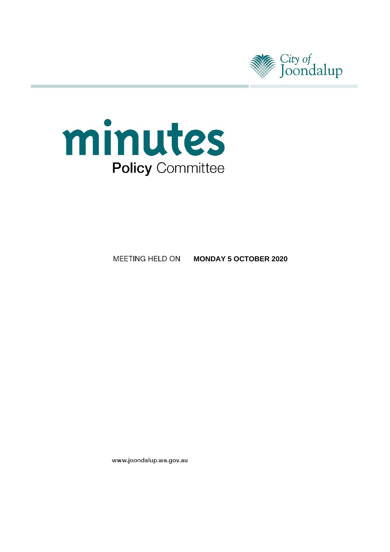



#### MEETING HELD ON **MONDAY 5 OCTOBER 2020**

www.joondalup.wa.gov.au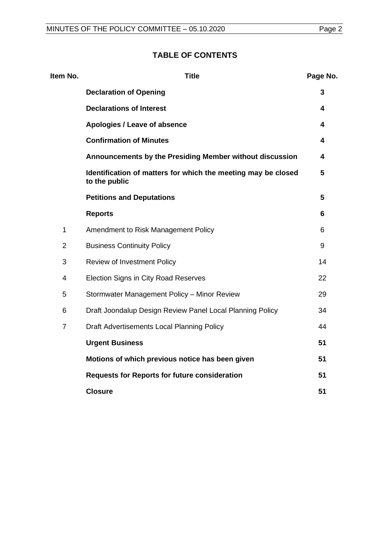# **TABLE OF CONTENTS**

| Item No.       | <b>Title</b>                                                                   | Page No. |
|----------------|--------------------------------------------------------------------------------|----------|
|                | <b>Declaration of Opening</b>                                                  | 3        |
|                | <b>Declarations of Interest</b>                                                | 4        |
|                | Apologies / Leave of absence                                                   | 4        |
|                | <b>Confirmation of Minutes</b>                                                 | 4        |
|                | Announcements by the Presiding Member without discussion                       | 4        |
|                | Identification of matters for which the meeting may be closed<br>to the public | 5        |
|                | <b>Petitions and Deputations</b>                                               | 5        |
|                | <b>Reports</b>                                                                 | 6        |
| 1              | Amendment to Risk Management Policy                                            | 6        |
| $\overline{2}$ | <b>Business Continuity Policy</b>                                              | 9        |
| 3              | Review of Investment Policy                                                    | 14       |
| 4              | Election Signs in City Road Reserves                                           | 22       |
| 5              | Stormwater Management Policy - Minor Review                                    | 29       |
| 6              | Draft Joondalup Design Review Panel Local Planning Policy                      | 34       |
| $\overline{7}$ | Draft Advertisements Local Planning Policy                                     | 44       |
|                | <b>Urgent Business</b>                                                         | 51       |
|                | Motions of which previous notice has been given                                | 51       |
|                | <b>Requests for Reports for future consideration</b>                           | 51       |
|                | <b>Closure</b>                                                                 | 51       |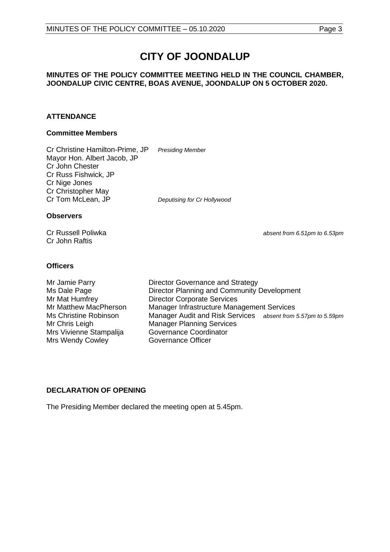# **CITY OF JOONDALUP**

#### **MINUTES OF THE POLICY COMMITTEE MEETING HELD IN THE COUNCIL CHAMBER, JOONDALUP CIVIC CENTRE, BOAS AVENUE, JOONDALUP ON 5 OCTOBER 2020.**

#### **ATTENDANCE**

#### **Committee Members**

Cr Christine Hamilton-Prime, JP *Presiding Member* Mayor Hon. Albert Jacob, JP Cr John Chester Cr Russ Fishwick, JP Cr Nige Jones Cr Christopher May<br>Cr Tom McLean, JP

**Deputising for Cr Hollywood** 

#### **Observers**

Cr John Raftis

Cr Russell Poliwka *absent from 6.51pm to 6.53pm*

#### **Officers**

Mr Jamie Parry **Director Governance and Strategy** Ms Dale Page **Director Planning and Community Development** Mr Mat Humfrey Director Corporate Services<br>Mr Matthew MacPherson Manager Infrastructure Mana Manager Infrastructure Management Services Ms Christine Robinson Manager Audit and Risk Services *absent from 5.57pm to 5.59pm* Mr Chris Leigh **Manager Planning Services**<br>
Mrs Vivienne Stampalija Governance Coordinator Mrs Vivienne Stampalija Mrs Wendy Cowley **Governance Officer** 

#### <span id="page-2-0"></span>**DECLARATION OF OPENING**

The Presiding Member declared the meeting open at 5.45pm.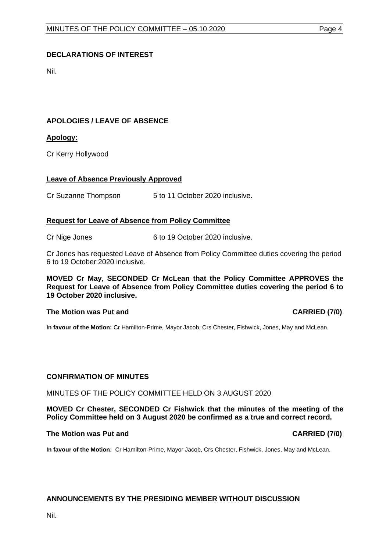#### <span id="page-3-0"></span>**DECLARATIONS OF INTEREST**

Nil.

#### <span id="page-3-1"></span>**APOLOGIES / LEAVE OF ABSENCE**

#### **Apology:**

Cr Kerry Hollywood

#### **Leave of Absence Previously Approved**

Cr Suzanne Thompson 5 to 11 October 2020 inclusive.

#### **Request for Leave of Absence from Policy Committee**

Cr Nige Jones 6 to 19 October 2020 inclusive.

Cr Jones has requested Leave of Absence from Policy Committee duties covering the period 6 to 19 October 2020 inclusive.

**MOVED Cr May, SECONDED Cr McLean that the Policy Committee APPROVES the Request for Leave of Absence from Policy Committee duties covering the period 6 to 19 October 2020 inclusive.**

#### **The Motion was Put and CARRIED (7/0)**

**In favour of the Motion:** Cr Hamilton-Prime, Mayor Jacob, Crs Chester, Fishwick, Jones, May and McLean.

#### <span id="page-3-2"></span>**CONFIRMATION OF MINUTES**

#### MINUTES OF THE POLICY COMMITTEE HELD ON 3 AUGUST 2020

**MOVED Cr Chester, SECONDED Cr Fishwick that the minutes of the meeting of the Policy Committee held on 3 August 2020 be confirmed as a true and correct record.**

#### **The Motion was Put and CARRIED (7/0)**

**In favour of the Motion:** Cr Hamilton-Prime, Mayor Jacob, Crs Chester, Fishwick, Jones, May and McLean.

#### <span id="page-3-3"></span>**ANNOUNCEMENTS BY THE PRESIDING MEMBER WITHOUT DISCUSSION**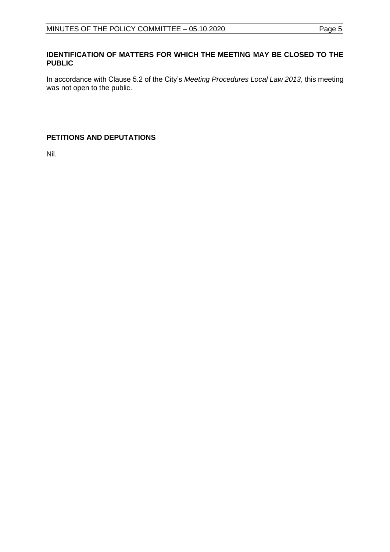#### <span id="page-4-0"></span>**IDENTIFICATION OF MATTERS FOR WHICH THE MEETING MAY BE CLOSED TO THE PUBLIC**

In accordance with Clause 5.2 of the City's *Meeting Procedures Local Law 2013*, this meeting was not open to the public.

### <span id="page-4-1"></span>**PETITIONS AND DEPUTATIONS**

Nil.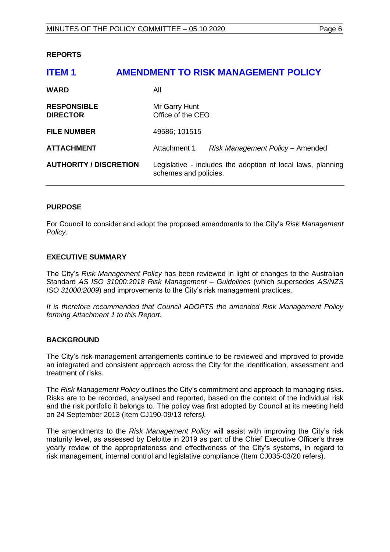#### <span id="page-5-0"></span>**REPORTS**

# <span id="page-5-1"></span>**ITEM 1 AMENDMENT TO RISK MANAGEMENT POLICY WARD** All **RESPONSIBLE** Mr Garry Hunt **DIRECTOR** Office of the CEO **FILE NUMBER** 49586; 101515 **ATTACHMENT** Attachment 1 *Risk Management Policy* – Amended **AUTHORITY / DISCRETION** Legislative - includes the adoption of local laws, planning schemes and policies.

#### **PURPOSE**

For Council to consider and adopt the proposed amendments to the City's *Risk Management Policy*.

#### **EXECUTIVE SUMMARY**

The City's *Risk Management Policy* has been reviewed in light of changes to the Australian Standard *AS ISO 31000:2018 Risk Management – Guidelines* (which supersedes *AS/NZS ISO 31000:2009*) and improvements to the City's risk management practices.

*It is therefore recommended that Council ADOPTS the amended Risk Management Policy forming Attachment 1 to this Report.*

#### **BACKGROUND**

The City's risk management arrangements continue to be reviewed and improved to provide an integrated and consistent approach across the City for the identification, assessment and treatment of risks.

The *Risk Management Policy* outlines the City's commitment and approach to managing risks. Risks are to be recorded, analysed and reported, based on the context of the individual risk and the risk portfolio it belongs to. The policy was first adopted by Council at its meeting held on 24 September 2013 (Item CJ190-09/13 refers*).*

The amendments to the *Risk Management Policy* will assist with improving the City's risk maturity level, as assessed by Deloitte in 2019 as part of the Chief Executive Officer's three yearly review of the appropriateness and effectiveness of the City's systems, in regard to risk management, internal control and legislative compliance (Item CJ035-03/20 refers).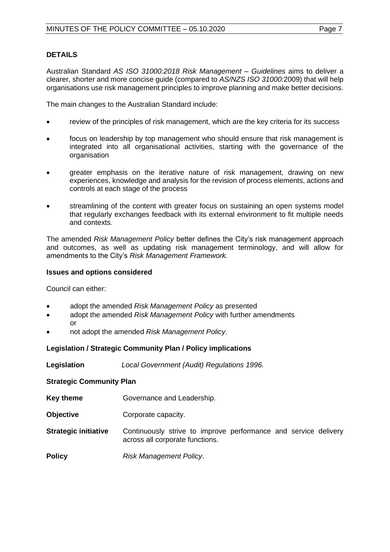Australian Standard *AS ISO 31000:2018 Risk Management – Guidelines* aims to deliver a clearer, shorter and more concise guide (compared to *AS/NZS ISO 31000:*2009) that will help organisations use risk management principles to improve planning and make better decisions.

The main changes to the Australian Standard include:

- review of the principles of risk management, which are the key criteria for its success
- focus on leadership by top management who should ensure that risk management is integrated into all organisational activities, starting with the governance of the organisation
- greater emphasis on the iterative nature of risk management, drawing on new experiences, knowledge and analysis for the revision of process elements, actions and controls at each stage of the process
- streamlining of the content with greater focus on sustaining an open systems model that regularly exchanges feedback with its external environment to fit multiple needs and contexts.

The amended *Risk Management Policy* better defines the City's risk management approach and outcomes, as well as updating risk management terminology, and will allow for amendments to the City's *Risk Management Framework.*

#### **Issues and options considered**

Council can either:

- adopt the amended *Risk Management Policy* as presented
- adopt the amended *Risk Management Policy* with further amendments or
- not adopt the amended *Risk Management Policy*.

### **Legislation / Strategic Community Plan / Policy implications**

| Legislation | Local Government (Audit) Regulations 1996. |  |
|-------------|--------------------------------------------|--|
|-------------|--------------------------------------------|--|

#### **Strategic Community Plan**

- **Key theme Governance and Leadership.**
- **Objective Corporate capacity.**
- **Strategic initiative** Continuously strive to improve performance and service delivery across all corporate functions.
- **Policy** *Risk Management Policy*.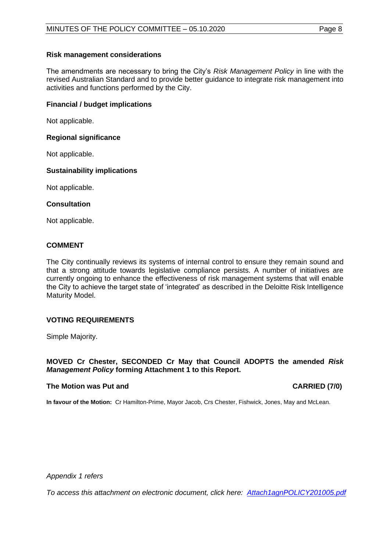#### **Risk management considerations**

The amendments are necessary to bring the City's *Risk Management Policy* in line with the revised Australian Standard and to provide better guidance to integrate risk management into activities and functions performed by the City.

#### **Financial / budget implications**

Not applicable.

#### **Regional significance**

Not applicable.

#### **Sustainability implications**

Not applicable.

#### **Consultation**

Not applicable.

### **COMMENT**

The City continually reviews its systems of internal control to ensure they remain sound and that a strong attitude towards legislative compliance persists. A number of initiatives are currently ongoing to enhance the effectiveness of risk management systems that will enable the City to achieve the target state of 'integrated' as described in the Deloitte Risk Intelligence Maturity Model.

### **VOTING REQUIREMENTS**

Simple Majority.

#### **MOVED Cr Chester, SECONDED Cr May that Council ADOPTS the amended** *Risk Management Policy* **forming Attachment 1 to this Report.**

#### **The Motion was Put and CARRIED (7/0)**

**In favour of the Motion:** Cr Hamilton-Prime, Mayor Jacob, Crs Chester, Fishwick, Jones, May and McLean.

*Appendix 1 refers*

*To access this attachment on electronic document, click here[: Attach1agnPOLICY201005.pdf](http://www.joondalup.wa.gov.au/files/committees/POLI/2020/Attach1agnPOLICY201005.pdf)*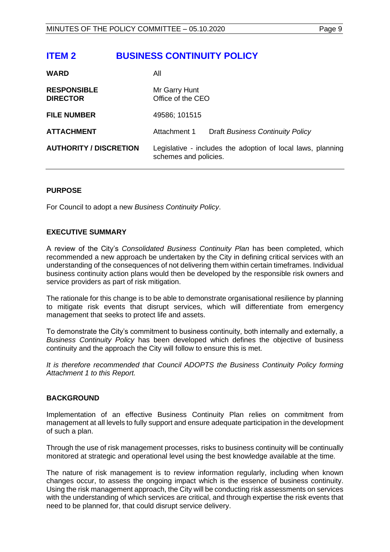# <span id="page-8-0"></span>**ITEM 2 BUSINESS CONTINUITY POLICY**

| <b>WARD</b>                           | All                                |                                                             |
|---------------------------------------|------------------------------------|-------------------------------------------------------------|
| <b>RESPONSIBLE</b><br><b>DIRECTOR</b> | Mr Garry Hunt<br>Office of the CEO |                                                             |
| <b>FILE NUMBER</b>                    | 49586; 101515                      |                                                             |
| <b>ATTACHMENT</b>                     | Attachment 1                       | <b>Draft Business Continuity Policy</b>                     |
| <b>AUTHORITY / DISCRETION</b>         | schemes and policies.              | Legislative - includes the adoption of local laws, planning |

#### **PURPOSE**

For Council to adopt a new *Business Continuity Policy*.

#### **EXECUTIVE SUMMARY**

A review of the City's *Consolidated Business Continuity Plan* has been completed, which recommended a new approach be undertaken by the City in defining critical services with an understanding of the consequences of not delivering them within certain timeframes. Individual business continuity action plans would then be developed by the responsible risk owners and service providers as part of risk mitigation.

The rationale for this change is to be able to demonstrate organisational resilience by planning to mitigate risk events that disrupt services, which will differentiate from emergency management that seeks to protect life and assets.

To demonstrate the City's commitment to business continuity, both internally and externally, a *Business Continuity Policy* has been developed which defines the objective of business continuity and the approach the City will follow to ensure this is met.

*It is therefore recommended that Council ADOPTS the Business Continuity Policy forming Attachment 1 to this Report.*

#### **BACKGROUND**

Implementation of an effective Business Continuity Plan relies on commitment from management at all levels to fully support and ensure adequate participation in the development of such a plan.

Through the use of risk management processes, risks to business continuity will be continually monitored at strategic and operational level using the best knowledge available at the time.

The nature of risk management is to review information regularly, including when known changes occur, to assess the ongoing impact which is the essence of business continuity. Using the risk management approach, the City will be conducting risk assessments on services with the understanding of which services are critical, and through expertise the risk events that need to be planned for, that could disrupt service delivery.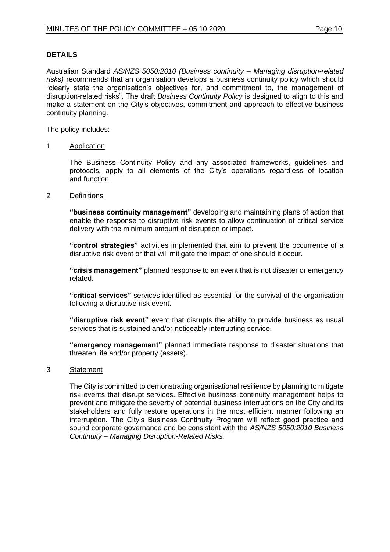#### **DETAILS**

Australian Standard *AS/NZS 5050:2010 (Business continuity – Managing disruption-related risks)* recommends that an organisation develops a business continuity policy which should "clearly state the organisation's objectives for, and commitment to, the management of disruption-related risks". The draft *Business Continuity Policy* is designed to align to this and make a statement on the City's objectives, commitment and approach to effective business continuity planning.

The policy includes:

#### 1 Application

The Business Continuity Policy and any associated frameworks, guidelines and protocols, apply to all elements of the City's operations regardless of location and function.

#### 2 Definitions

**"business continuity management"** developing and maintaining plans of action that enable the response to disruptive risk events to allow continuation of critical service delivery with the minimum amount of disruption or impact.

**"control strategies"** activities implemented that aim to prevent the occurrence of a disruptive risk event or that will mitigate the impact of one should it occur.

**"crisis management"** planned response to an event that is not disaster or emergency related.

**"critical services"** services identified as essential for the survival of the organisation following a disruptive risk event.

**"disruptive risk event"** event that disrupts the ability to provide business as usual services that is sustained and/or noticeably interrupting service.

**"emergency management"** planned immediate response to disaster situations that threaten life and/or property (assets).

#### 3 Statement

The City is committed to demonstrating organisational resilience by planning to mitigate risk events that disrupt services. Effective business continuity management helps to prevent and mitigate the severity of potential business interruptions on the City and its stakeholders and fully restore operations in the most efficient manner following an interruption. The City's Business Continuity Program will reflect good practice and sound corporate governance and be consistent with the *AS/NZS 5050:2010 Business Continuity – Managing Disruption-Related Risks.*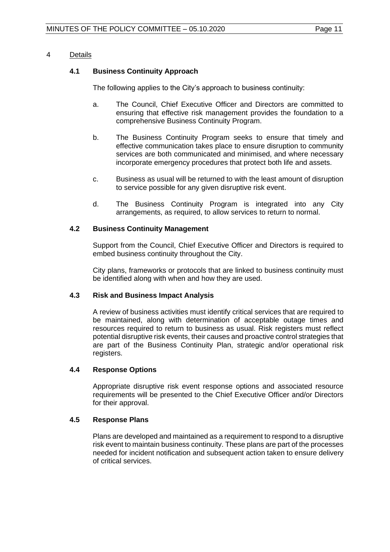#### 4 Details

#### **4.1 Business Continuity Approach**

The following applies to the City's approach to business continuity:

- a. The Council, Chief Executive Officer and Directors are committed to ensuring that effective risk management provides the foundation to a comprehensive Business Continuity Program.
- b. The Business Continuity Program seeks to ensure that timely and effective communication takes place to ensure disruption to community services are both communicated and minimised, and where necessary incorporate emergency procedures that protect both life and assets.
- c. Business as usual will be returned to with the least amount of disruption to service possible for any given disruptive risk event.
- d. The Business Continuity Program is integrated into any City arrangements, as required, to allow services to return to normal.

#### **4.2 Business Continuity Management**

Support from the Council, Chief Executive Officer and Directors is required to embed business continuity throughout the City.

City plans, frameworks or protocols that are linked to business continuity must be identified along with when and how they are used.

#### **4.3 Risk and Business Impact Analysis**

A review of business activities must identify critical services that are required to be maintained, along with determination of acceptable outage times and resources required to return to business as usual. Risk registers must reflect potential disruptive risk events, their causes and proactive control strategies that are part of the Business Continuity Plan, strategic and/or operational risk registers.

#### **4.4 Response Options**

Appropriate disruptive risk event response options and associated resource requirements will be presented to the Chief Executive Officer and/or Directors for their approval.

#### **4.5 Response Plans**

Plans are developed and maintained as a requirement to respond to a disruptive risk event to maintain business continuity. These plans are part of the processes needed for incident notification and subsequent action taken to ensure delivery of critical services.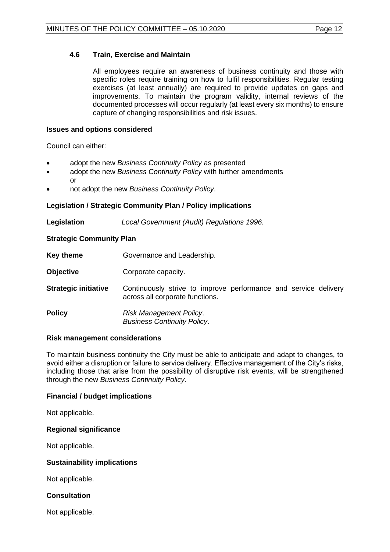#### **4.6 Train, Exercise and Maintain**

All employees require an awareness of business continuity and those with specific roles require training on how to fulfil responsibilities. Regular testing exercises (at least annually) are required to provide updates on gaps and improvements. To maintain the program validity, internal reviews of the documented processes will occur regularly (at least every six months) to ensure capture of changing responsibilities and risk issues.

#### **Issues and options considered**

Council can either:

- adopt the new *Business Continuity Policy* as presented
- adopt the new *Business Continuity Policy* with further amendments or
- not adopt the new *Business Continuity Policy*.

#### **Legislation / Strategic Community Plan / Policy implications**

**Legislation** *Local Government (Audit) Regulations 1996.*

#### **Strategic Community Plan**

- **Key theme Governance and Leadership.**
- **Objective Corporate capacity.**
- **Strategic initiative** Continuously strive to improve performance and service delivery across all corporate functions.

**Policy** *Risk Management Policy*. *Business Continuity Policy*.

#### **Risk management considerations**

To maintain business continuity the City must be able to anticipate and adapt to changes, to avoid either a disruption or failure to service delivery. Effective management of the City's risks, including those that arise from the possibility of disruptive risk events, will be strengthened through the new *Business Continuity Policy.*

#### **Financial / budget implications**

Not applicable.

#### **Regional significance**

Not applicable.

#### **Sustainability implications**

Not applicable.

#### **Consultation**

Not applicable.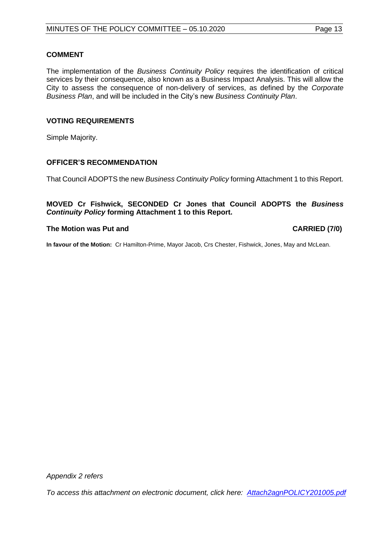#### **COMMENT**

The implementation of the *Business Continuity Policy* requires the identification of critical services by their consequence, also known as a Business Impact Analysis. This will allow the City to assess the consequence of non-delivery of services, as defined by the *Corporate Business Plan*, and will be included in the City's new *Business Continuity Plan*.

#### **VOTING REQUIREMENTS**

Simple Majority.

#### **OFFICER'S RECOMMENDATION**

That Council ADOPTS the new *Business Continuity Policy* forming Attachment 1 to this Report.

**MOVED Cr Fishwick, SECONDED Cr Jones that Council ADOPTS the** *Business Continuity Policy* **forming Attachment 1 to this Report.**

#### **The Motion was Put and CARRIED (7/0)**

**In favour of the Motion:** Cr Hamilton-Prime, Mayor Jacob, Crs Chester, Fishwick, Jones, May and McLean.

*To access this attachment on electronic document, click her[e: Attach2agnPOLICY201005.pdf](http://www.joondalup.wa.gov.au/files/committees/POLI/2020/Attach2agnPOLICY201005.pdf)*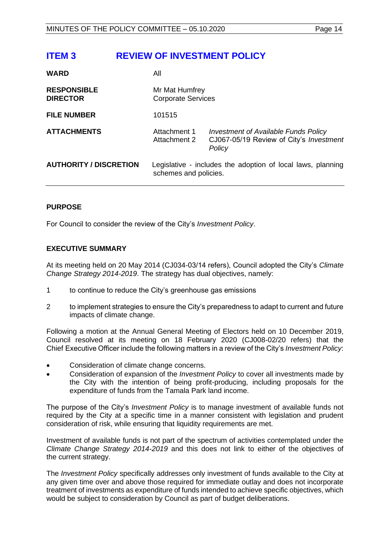# <span id="page-13-0"></span>**ITEM 3 REVIEW OF INVESTMENT POLICY**

| <b>WARD</b>                           | All                                                                                  |                                                                                           |  |
|---------------------------------------|--------------------------------------------------------------------------------------|-------------------------------------------------------------------------------------------|--|
| <b>RESPONSIBLE</b><br><b>DIRECTOR</b> | Mr Mat Humfrey<br><b>Corporate Services</b>                                          |                                                                                           |  |
| <b>FILE NUMBER</b>                    | 101515                                                                               |                                                                                           |  |
| <b>ATTACHMENTS</b>                    | Attachment 1<br>Attachment 2                                                         | Investment of Available Funds Policy<br>CJ067-05/19 Review of City's Investment<br>Policy |  |
| <b>AUTHORITY / DISCRETION</b>         | Legislative - includes the adoption of local laws, planning<br>schemes and policies. |                                                                                           |  |

### **PURPOSE**

For Council to consider the review of the City's *Investment Policy*.

#### **EXECUTIVE SUMMARY**

At its meeting held on 20 May 2014 (CJ034-03/14 refers), Council adopted the City's *Climate Change Strategy 2014-2019*. The strategy has dual objectives, namely:

- 1 to continue to reduce the City's greenhouse gas emissions
- 2 to implement strategies to ensure the City's preparedness to adapt to current and future impacts of climate change.

Following a motion at the Annual General Meeting of Electors held on 10 December 2019, Council resolved at its meeting on 18 February 2020 (CJ008-02/20 refers) that the Chief Executive Officer include the following matters in a review of the City's *Investment Policy*:

- Consideration of climate change concerns.
- Consideration of expansion of the *Investment Policy* to cover all investments made by the City with the intention of being profit-producing, including proposals for the expenditure of funds from the Tamala Park land income.

The purpose of the City's *Investment Policy* is to manage investment of available funds not required by the City at a specific time in a manner consistent with legislation and prudent consideration of risk, while ensuring that liquidity requirements are met.

Investment of available funds is not part of the spectrum of activities contemplated under the *Climate Change Strategy 2014-2019* and this does not link to either of the objectives of the current strategy.

The *Investment Policy* specifically addresses only investment of funds available to the City at any given time over and above those required for immediate outlay and does not incorporate treatment of investments as expenditure of funds intended to achieve specific objectives, which would be subject to consideration by Council as part of budget deliberations.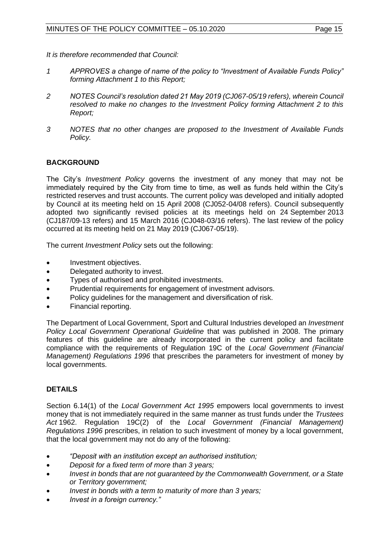*It is therefore recommended that Council:*

- *1 APPROVES a change of name of the policy to "Investment of Available Funds Policy" forming Attachment 1 to this Report;*
- *2 NOTES Council's resolution dated 21 May 2019 (CJ067-05/19 refers), wherein Council resolved to make no changes to the Investment Policy forming Attachment 2 to this Report;*
- *3 NOTES that no other changes are proposed to the Investment of Available Funds Policy.*

### **BACKGROUND**

The City's *Investment Policy* governs the investment of any money that may not be immediately required by the City from time to time, as well as funds held within the City's restricted reserves and trust accounts. The current policy was developed and initially adopted by Council at its meeting held on 15 April 2008 (CJ052-04/08 refers). Council subsequently adopted two significantly revised policies at its meetings held on 24 September 2013 (CJ187/09-13 refers) and 15 March 2016 (CJ048-03/16 refers). The last review of the policy occurred at its meeting held on 21 May 2019 (CJ067-05/19).

The current *Investment Policy* sets out the following:

- Investment objectives.
- Delegated authority to invest.
- Types of authorised and prohibited investments.
- Prudential requirements for engagement of investment advisors.
- Policy guidelines for the management and diversification of risk.
- Financial reporting.

The Department of Local Government, Sport and Cultural Industries developed an *Investment Policy Local Government Operational Guideline* that was published in 2008. The primary features of this guideline are already incorporated in the current policy and facilitate compliance with the requirements of Regulation 19C of the *Local Government (Financial Management) Regulations 1996* that prescribes the parameters for investment of money by local governments.

### **DETAILS**

Section 6.14(1) of the *Local Government Act 1995* empowers local governments to invest money that is not immediately required in the same manner as trust funds under the *Trustees Act* 1962. Regulation 19C(2) of the *Local Government (Financial Management) Regulations 1996* prescribes, in relation to such investment of money by a local government, that the local government may not do any of the following:

- *"Deposit with an institution except an authorised institution;*
- *Deposit for a fixed term of more than 3 years;*
- *Invest in bonds that are not guaranteed by the Commonwealth Government, or a State or Territory government;*
- *Invest in bonds with a term to maturity of more than 3 years;*
- *Invest in a foreign currency."*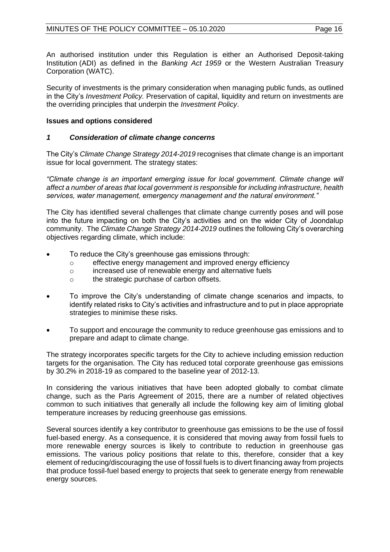An authorised institution under this Regulation is either an Authorised Deposit-taking Institution (ADI) as defined in the *Banking Act 1959* or the Western Australian Treasury Corporation (WATC).

Security of investments is the primary consideration when managing public funds, as outlined in the City's *Investment Policy.* Preservation of capital, liquidity and return on investments are the overriding principles that underpin the *Investment Policy*.

### **Issues and options considered**

#### *1 Consideration of climate change concerns*

The City's *Climate Change Strategy 2014-2019* recognises that climate change is an important issue for local government. The strategy states:

*"Climate change is an important emerging issue for local government. Climate change will affect a number of areas that local government is responsible for including infrastructure, health services, water management, emergency management and the natural environment."*

The City has identified several challenges that climate change currently poses and will pose into the future impacting on both the City's activities and on the wider City of Joondalup community. The *Climate Change Strategy 2014-2019* outlines the following City's overarching objectives regarding climate, which include:

- To reduce the City's greenhouse gas emissions through:
	- o effective energy management and improved energy efficiency
	- o increased use of renewable energy and alternative fuels
	- o the strategic purchase of carbon offsets.
- To improve the City's understanding of climate change scenarios and impacts, to identify related risks to City's activities and infrastructure and to put in place appropriate strategies to minimise these risks.
- To support and encourage the community to reduce greenhouse gas emissions and to prepare and adapt to climate change.

The strategy incorporates specific targets for the City to achieve including emission reduction targets for the organisation. The City has reduced total corporate greenhouse gas emissions by 30.2% in 2018-19 as compared to the baseline year of 2012-13.

In considering the various initiatives that have been adopted globally to combat climate change, such as the Paris Agreement of 2015, there are a number of related objectives common to such initiatives that generally all include the following key aim of limiting global temperature increases by reducing greenhouse gas emissions.

Several sources identify a key contributor to greenhouse gas emissions to be the use of fossil fuel-based energy. As a consequence, it is considered that moving away from fossil fuels to more renewable energy sources is likely to contribute to reduction in greenhouse gas emissions. The various policy positions that relate to this, therefore, consider that a key element of reducing/discouraging the use of fossil fuels is to divert financing away from projects that produce fossil-fuel based energy to projects that seek to generate energy from renewable energy sources.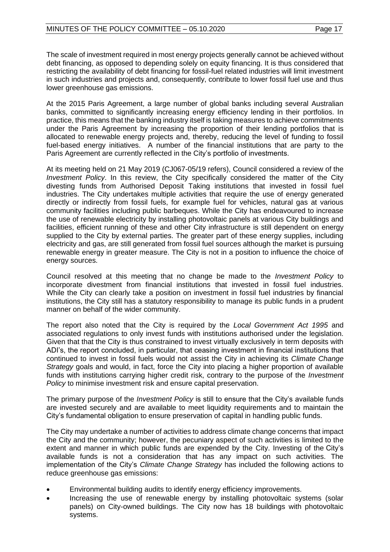The scale of investment required in most energy projects generally cannot be achieved without debt financing, as opposed to depending solely on equity financing. It is thus considered that restricting the availability of debt financing for fossil-fuel related industries will limit investment in such industries and projects and, consequently, contribute to lower fossil fuel use and thus lower greenhouse gas emissions.

At the 2015 Paris Agreement, a large number of global banks including several Australian banks, committed to significantly increasing energy efficiency lending in their portfolios. In practice, this means that the banking industry itself is taking measures to achieve commitments under the Paris Agreement by increasing the proportion of their lending portfolios that is allocated to renewable energy projects and, thereby, reducing the level of funding to fossil fuel-based energy initiatives. A number of the financial institutions that are party to the Paris Agreement are currently reflected in the City's portfolio of investments.

At its meeting held on 21 May 2019 (CJ067-05/19 refers), Council considered a review of the *Investment Policy*. In this review, the City specifically considered the matter of the City divesting funds from Authorised Deposit Taking institutions that invested in fossil fuel industries. The City undertakes multiple activities that require the use of energy generated directly or indirectly from fossil fuels, for example fuel for vehicles, natural gas at various community facilities including public barbeques. While the City has endeavoured to increase the use of renewable electricity by installing photovoltaic panels at various City buildings and facilities, efficient running of these and other City infrastructure is still dependent on energy supplied to the City by external parties. The greater part of these energy supplies, including electricity and gas, are still generated from fossil fuel sources although the market is pursuing renewable energy in greater measure. The City is not in a position to influence the choice of energy sources.

Council resolved at this meeting that no change be made to the *Investment Policy* to incorporate divestment from financial institutions that invested in fossil fuel industries. While the City can clearly take a position on investment in fossil fuel industries by financial institutions, the City still has a statutory responsibility to manage its public funds in a prudent manner on behalf of the wider community.

The report also noted that the City is required by the *Local Government Act 1995* and associated regulations to only invest funds with institutions authorised under the legislation. Given that that the City is thus constrained to invest virtually exclusively in term deposits with ADI's, the report concluded, in particular, that ceasing investment in financial institutions that continued to invest in fossil fuels would not assist the City in achieving its *Climate Change Strategy* goals and would, in fact, force the City into placing a higher proportion of available funds with institutions carrying higher credit risk, contrary to the purpose of the *Investment Policy* to minimise investment risk and ensure capital preservation.

The primary purpose of the *Investment Policy* is still to ensure that the City's available funds are invested securely and are available to meet liquidity requirements and to maintain the City's fundamental obligation to ensure preservation of capital in handling public funds.

The City may undertake a number of activities to address climate change concerns that impact the City and the community; however, the pecuniary aspect of such activities is limited to the extent and manner in which public funds are expended by the City. Investing of the City's available funds is not a consideration that has any impact on such activities. The implementation of the City's *Climate Change Strategy* has included the following actions to reduce greenhouse gas emissions:

- Environmental building audits to identify energy efficiency improvements.
- Increasing the use of renewable energy by installing photovoltaic systems (solar panels) on City-owned buildings. The City now has 18 buildings with photovoltaic systems.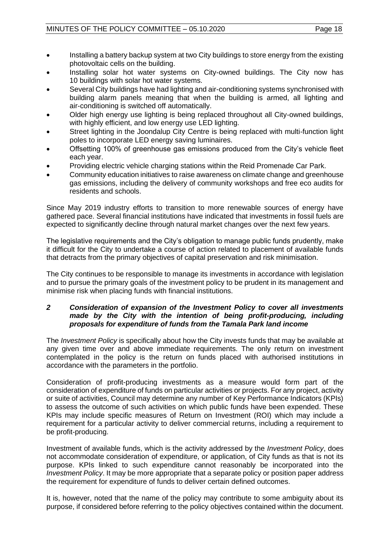- Installing a battery backup system at two City buildings to store energy from the existing photovoltaic cells on the building.
- Installing solar hot water systems on City-owned buildings. The City now has 10 buildings with solar hot water systems.
- Several City buildings have had lighting and air-conditioning systems synchronised with building alarm panels meaning that when the building is armed, all lighting and air-conditioning is switched off automatically.
- Older high energy use lighting is being replaced throughout all City-owned buildings, with highly efficient, and low energy use LED lighting.
- Street lighting in the Joondalup City Centre is being replaced with multi-function light poles to incorporate LED energy saving luminaires.
- Offsetting 100% of greenhouse gas emissions produced from the City's vehicle fleet each year.
- Providing electric vehicle charging stations within the Reid Promenade Car Park.
- Community education initiatives to raise awareness on climate change and greenhouse gas emissions, including the delivery of community workshops and free eco audits for residents and schools.

Since May 2019 industry efforts to transition to more renewable sources of energy have gathered pace. Several financial institutions have indicated that investments in fossil fuels are expected to significantly decline through natural market changes over the next few years.

The legislative requirements and the City's obligation to manage public funds prudently, make it difficult for the City to undertake a course of action related to placement of available funds that detracts from the primary objectives of capital preservation and risk minimisation.

The City continues to be responsible to manage its investments in accordance with legislation and to pursue the primary goals of the investment policy to be prudent in its management and minimise risk when placing funds with financial institutions.

#### *2 Consideration of expansion of the Investment Policy to cover all investments made by the City with the intention of being profit-producing, including proposals for expenditure of funds from the Tamala Park land income*

The *Investment Policy* is specifically about how the City invests funds that may be available at any given time over and above immediate requirements. The only return on investment contemplated in the policy is the return on funds placed with authorised institutions in accordance with the parameters in the portfolio.

Consideration of profit-producing investments as a measure would form part of the consideration of expenditure of funds on particular activities or projects. For any project, activity or suite of activities, Council may determine any number of Key Performance Indicators (KPIs) to assess the outcome of such activities on which public funds have been expended. These KPIs may include specific measures of Return on Investment (ROI) which may include a requirement for a particular activity to deliver commercial returns, including a requirement to be profit-producing.

Investment of available funds, which is the activity addressed by the *Investment Policy*, does not accommodate consideration of expenditure, or application, of City funds as that is not its purpose. KPIs linked to such expenditure cannot reasonably be incorporated into the *Investment Policy*. It may be more appropriate that a separate policy or position paper address the requirement for expenditure of funds to deliver certain defined outcomes.

It is, however, noted that the name of the policy may contribute to some ambiguity about its purpose, if considered before referring to the policy objectives contained within the document.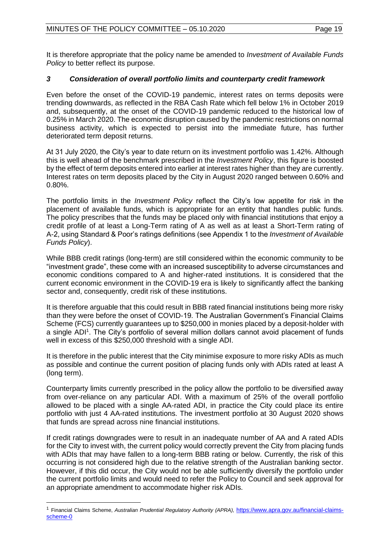It is therefore appropriate that the policy name be amended to *Investment of Available Funds Policy* to better reflect its purpose.

### *3 Consideration of overall portfolio limits and counterparty credit framework*

Even before the onset of the COVID-19 pandemic, interest rates on terms deposits were trending downwards, as reflected in the RBA Cash Rate which fell below 1% in October 2019 and, subsequently, at the onset of the COVID-19 pandemic reduced to the historical low of 0.25% in March 2020. The economic disruption caused by the pandemic restrictions on normal business activity, which is expected to persist into the immediate future, has further deteriorated term deposit returns.

At 31 July 2020, the City's year to date return on its investment portfolio was 1.42%. Although this is well ahead of the benchmark prescribed in the *Investment Policy*, this figure is boosted by the effect of term deposits entered into earlier at interest rates higher than they are currently. Interest rates on term deposits placed by the City in August 2020 ranged between 0.60% and 0.80%.

The portfolio limits in the *Investment Policy* reflect the City's low appetite for risk in the placement of available funds, which is appropriate for an entity that handles public funds. The policy prescribes that the funds may be placed only with financial institutions that enjoy a credit profile of at least a Long-Term rating of A as well as at least a Short-Term rating of A-2, using Standard & Poor's ratings definitions (see Appendix 1 to the *Investment of Available Funds Policy*).

While BBB credit ratings (long-term) are still considered within the economic community to be "investment grade", these come with an increased susceptibility to adverse circumstances and economic conditions compared to A and higher-rated institutions. It is considered that the current economic environment in the COVID-19 era is likely to significantly affect the banking sector and, consequently, credit risk of these institutions.

It is therefore arguable that this could result in BBB rated financial institutions being more risky than they were before the onset of COVID-19. The Australian Government's Financial Claims Scheme (FCS) currently guarantees up to \$250,000 in monies placed by a deposit-holder with a single ADI<sup>1</sup>. The City's portfolio of several million dollars cannot avoid placement of funds well in excess of this \$250,000 threshold with a single ADI.

It is therefore in the public interest that the City minimise exposure to more risky ADIs as much as possible and continue the current position of placing funds only with ADIs rated at least A (long term).

Counterparty limits currently prescribed in the policy allow the portfolio to be diversified away from over-reliance on any particular ADI. With a maximum of 25% of the overall portfolio allowed to be placed with a single AA-rated ADI, in practice the City could place its entire portfolio with just 4 AA-rated institutions. The investment portfolio at 30 August 2020 shows that funds are spread across nine financial institutions.

If credit ratings downgrades were to result in an inadequate number of AA and A rated ADIs for the City to invest with, the current policy would correctly prevent the City from placing funds with ADIs that may have fallen to a long-term BBB rating or below. Currently, the risk of this occurring is not considered high due to the relative strength of the Australian banking sector. However, if this did occur, the City would not be able sufficiently diversify the portfolio under the current portfolio limits and would need to refer the Policy to Council and seek approval for an appropriate amendment to accommodate higher risk ADIs.

<sup>1</sup> Financial Claims Scheme, *Australian Prudential Regulatory Authority (APRA),* [https://www.apra.gov.au/financial-claims](https://www.apra.gov.au/financial-claims-scheme-0)[scheme-0](https://www.apra.gov.au/financial-claims-scheme-0)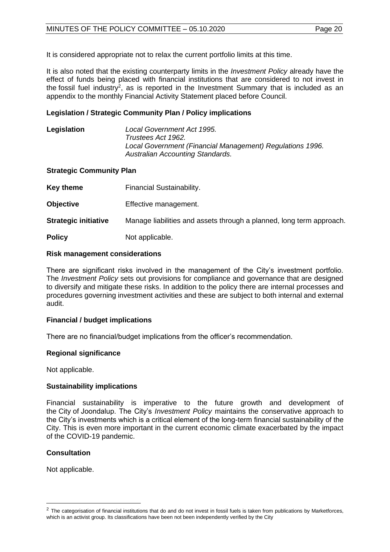It is considered appropriate not to relax the current portfolio limits at this time.

It is also noted that the existing counterparty limits in the *Investment Policy* already have the effect of funds being placed with financial institutions that are considered to not invest in the fossil fuel industry<sup>2</sup>, as is reported in the Investment Summary that is included as an appendix to the monthly Financial Activity Statement placed before Council.

#### **Legislation / Strategic Community Plan / Policy implications**

**Legislation** *Local Government Act 1995. Trustees Act 1962. Local Government (Financial Management) Regulations 1996. Australian Accounting Standards.*

#### **Strategic Community Plan**

| <b>Key theme</b>            | Financial Sustainability.                                            |
|-----------------------------|----------------------------------------------------------------------|
| <b>Objective</b>            | Effective management.                                                |
| <b>Strategic initiative</b> | Manage liabilities and assets through a planned, long term approach. |
| <b>Policy</b>               | Not applicable.                                                      |

#### **Risk management considerations**

There are significant risks involved in the management of the City's investment portfolio. The *Investment Policy* sets out provisions for compliance and governance that are designed to diversify and mitigate these risks. In addition to the policy there are internal processes and procedures governing investment activities and these are subject to both internal and external audit.

#### **Financial / budget implications**

There are no financial/budget implications from the officer's recommendation.

#### **Regional significance**

Not applicable.

#### **Sustainability implications**

Financial sustainability is imperative to the future growth and development of the City of Joondalup. The City's *Investment Policy* maintains the conservative approach to the City's investments which is a critical element of the long-term financial sustainability of the City. This is even more important in the current economic climate exacerbated by the impact of the COVID-19 pandemic.

#### **Consultation**

Not applicable.

 $2$  The categorisation of financial institutions that do and do not invest in fossil fuels is taken from publications by Marketforces, which is an activist group. Its classifications have been not been independently verified by the City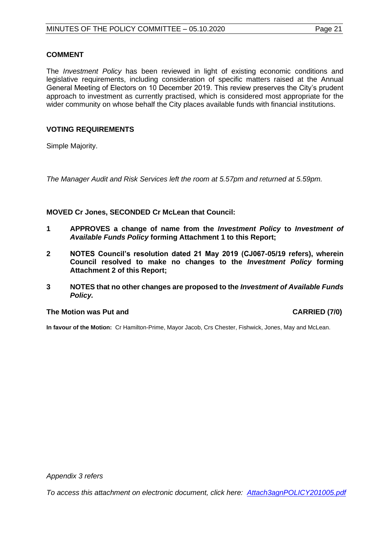The *Investment Policy* has been reviewed in light of existing economic conditions and legislative requirements, including consideration of specific matters raised at the Annual General Meeting of Electors on 10 December 2019. This review preserves the City's prudent approach to investment as currently practised, which is considered most appropriate for the wider community on whose behalf the City places available funds with financial institutions.

#### **VOTING REQUIREMENTS**

Simple Majority.

*The Manager Audit and Risk Services left the room at 5.57pm and returned at 5.59pm.*

**MOVED Cr Jones, SECONDED Cr McLean that Council:**

- **1 APPROVES a change of name from the** *Investment Policy* **to** *Investment of Available Funds Policy* **forming Attachment 1 to this Report;**
- **2 NOTES Council's resolution dated 21 May 2019 (CJ067-05/19 refers), wherein Council resolved to make no changes to the** *Investment Policy* **forming Attachment 2 of this Report;**
- **3 NOTES that no other changes are proposed to the** *Investment of Available Funds Policy.*

#### **The Motion was Put and CARRIED (7/0)**

**In favour of the Motion:** Cr Hamilton-Prime, Mayor Jacob, Crs Chester, Fishwick, Jones, May and McLean.

*Appendix 3 refers*

*To access this attachment on electronic document, click here: [Attach3agnPOLICY201005.pdf](http://www.joondalup.wa.gov.au/files/committees/POLI/2020/Attach3agnPOLICY201005.pdf)*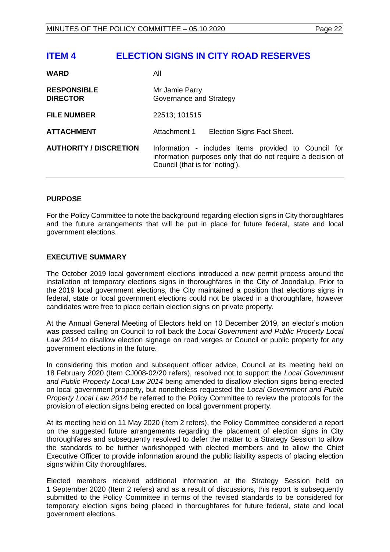## <span id="page-21-0"></span>**ITEM 4 ELECTION SIGNS IN CITY ROAD RESERVES**

| <b>WARD</b>                           | Αll                                                                                                                                                    |
|---------------------------------------|--------------------------------------------------------------------------------------------------------------------------------------------------------|
| <b>RESPONSIBLE</b><br><b>DIRECTOR</b> | Mr Jamie Parry<br>Governance and Strategy                                                                                                              |
| <b>FILE NUMBER</b>                    | 22513; 101515                                                                                                                                          |
| <b>ATTACHMENT</b>                     | Attachment 1<br>Election Signs Fact Sheet.                                                                                                             |
| <b>AUTHORITY / DISCRETION</b>         | Information - includes items provided to Council for<br>information purposes only that do not require a decision of<br>Council (that is for 'noting'). |

#### **PURPOSE**

For the Policy Committee to note the background regarding election signs in City thoroughfares and the future arrangements that will be put in place for future federal, state and local government elections.

#### **EXECUTIVE SUMMARY**

The October 2019 local government elections introduced a new permit process around the installation of temporary elections signs in thoroughfares in the City of Joondalup. Prior to the 2019 local government elections, the City maintained a position that elections signs in federal, state or local government elections could not be placed in a thoroughfare, however candidates were free to place certain election signs on private property.

At the Annual General Meeting of Electors held on 10 December 2019, an elector's motion was passed calling on Council to roll back the *Local Government and Public Property Local Law 2014* to disallow election signage on road verges or Council or public property for any government elections in the future.

In considering this motion and subsequent officer advice, Council at its meeting held on 18 February 2020 (Item CJ008-02/20 refers), resolved not to support the *Local Government and Public Property Local Law 2014* being amended to disallow election signs being erected on local government property, but nonetheless requested the *Local Government and Public Property Local Law 2014* be referred to the Policy Committee to review the protocols for the provision of election signs being erected on local government property.

At its meeting held on 11 May 2020 (Item 2 refers), the Policy Committee considered a report on the suggested future arrangements regarding the placement of election signs in City thoroughfares and subsequently resolved to defer the matter to a Strategy Session to allow the standards to be further workshopped with elected members and to allow the Chief Executive Officer to provide information around the public liability aspects of placing election signs within City thoroughfares.

Elected members received additional information at the Strategy Session held on 1 September 2020 (Item 2 refers) and as a result of discussions, this report is subsequently submitted to the Policy Committee in terms of the revised standards to be considered for temporary election signs being placed in thoroughfares for future federal, state and local government elections.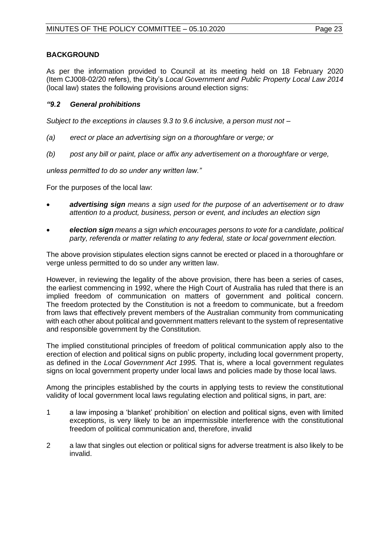As per the information provided to Council at its meeting held on 18 February 2020 (Item CJ008-02/20 refers), the City's *Local Government and Public Property Local Law 2014*  (local law) states the following provisions around election signs:

#### *"9.2 General prohibitions*

*Subject to the exceptions in clauses 9.3 to 9.6 inclusive, a person must not –*

- *(a) erect or place an advertising sign on a thoroughfare or verge; or*
- *(b) post any bill or paint, place or affix any advertisement on a thoroughfare or verge,*

*unless permitted to do so under any written law."*

For the purposes of the local law:

- *advertising sign means a sign used for the purpose of an advertisement or to draw attention to a product, business, person or event, and includes an election sign*
- *election sign means a sign which encourages persons to vote for a candidate, political party, referenda or matter relating to any federal, state or local government election.*

The above provision stipulates election signs cannot be erected or placed in a thoroughfare or verge unless permitted to do so under any written law.

However, in reviewing the legality of the above provision, there has been a series of cases, the earliest commencing in 1992, where the High Court of Australia has ruled that there is an implied freedom of communication on matters of government and political concern. The freedom protected by the Constitution is not a freedom to communicate, but a freedom from laws that effectively prevent members of the Australian community from communicating with each other about political and government matters relevant to the system of representative and responsible government by the Constitution.

The implied constitutional principles of freedom of political communication apply also to the erection of election and political signs on public property, including local government property, as defined in the *Local Government Act 1995.* That is, where a local government regulates signs on local government property under local laws and policies made by those local laws.

Among the principles established by the courts in applying tests to review the constitutional validity of local government local laws regulating election and political signs, in part, are:

- 1 a law imposing a 'blanket' prohibition' on election and political signs, even with limited exceptions, is very likely to be an impermissible interference with the constitutional freedom of political communication and, therefore, invalid
- 2 a law that singles out election or political signs for adverse treatment is also likely to be invalid.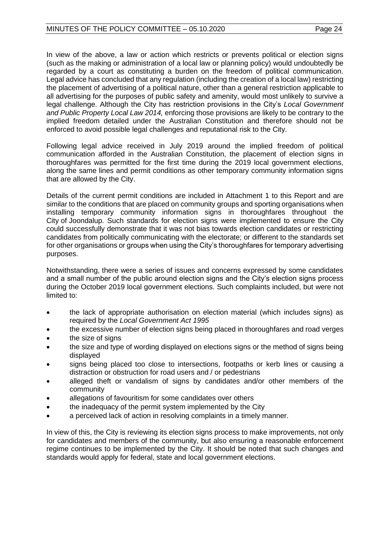In view of the above, a law or action which restricts or prevents political or election signs (such as the making or administration of a local law or planning policy) would undoubtedly be regarded by a court as constituting a burden on the freedom of political communication. Legal advice has concluded that any regulation (including the creation of a local law) restricting the placement of advertising of a political nature, other than a general restriction applicable to all advertising for the purposes of public safety and amenity, would most unlikely to survive a legal challenge. Although the City has restriction provisions in the City's *Local Government and Public Property Local Law 2014,* enforcing those provisions are likely to be contrary to the implied freedom detailed under the Australian Constitution and therefore should not be enforced to avoid possible legal challenges and reputational risk to the City.

Following legal advice received in July 2019 around the implied freedom of political communication afforded in the Australian Constitution, the placement of election signs in thoroughfares was permitted for the first time during the 2019 local government elections, along the same lines and permit conditions as other temporary community information signs that are allowed by the City.

Details of the current permit conditions are included in Attachment 1 to this Report and are similar to the conditions that are placed on community groups and sporting organisations when installing temporary community information signs in thoroughfares throughout the City of Joondalup. Such standards for election signs were implemented to ensure the City could successfully demonstrate that it was not bias towards election candidates or restricting candidates from politically communicating with the electorate; or different to the standards set for other organisations or groups when using the City's thoroughfares for temporary advertising purposes.

Notwithstanding, there were a series of issues and concerns expressed by some candidates and a small number of the public around election signs and the City's election signs process during the October 2019 local government elections. Such complaints included, but were not limited to:

- the lack of appropriate authorisation on election material (which includes signs) as required by the *Local Government Act 1995*
- the excessive number of election signs being placed in thoroughfares and road verges
- the size of signs
- the size and type of wording displayed on elections signs or the method of signs being displayed
- signs being placed too close to intersections, footpaths or kerb lines or causing a distraction or obstruction for road users and / or pedestrians
- alleged theft or vandalism of signs by candidates and/or other members of the community
- allegations of favouritism for some candidates over others
- the inadequacy of the permit system implemented by the City
- a perceived lack of action in resolving complaints in a timely manner.

In view of this, the City is reviewing its election signs process to make improvements, not only for candidates and members of the community, but also ensuring a reasonable enforcement regime continues to be implemented by the City. It should be noted that such changes and standards would apply for federal, state and local government elections.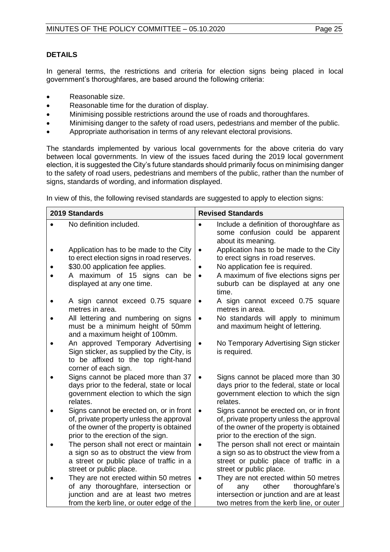In general terms, the restrictions and criteria for election signs being placed in local government's thoroughfares, are based around the following criteria:

- Reasonable size.
- Reasonable time for the duration of display.
- Minimising possible restrictions around the use of roads and thoroughfares.
- Minimising danger to the safety of road users, pedestrians and member of the public.
- Appropriate authorisation in terms of any relevant electoral provisions.

The standards implemented by various local governments for the above criteria do vary between local governments. In view of the issues faced during the 2019 local government election, it is suggested the City's future standards should primarily focus on minimising danger to the safety of road users, pedestrians and members of the public, rather than the number of signs, standards of wording, and information displayed.

In view of this, the following revised standards are suggested to apply to election signs:

| 2019 Standards                                                                                                                                                        |           | <b>Revised Standards</b>                                                                                                                                              |
|-----------------------------------------------------------------------------------------------------------------------------------------------------------------------|-----------|-----------------------------------------------------------------------------------------------------------------------------------------------------------------------|
| No definition included.                                                                                                                                               | $\bullet$ | Include a definition of thoroughfare as<br>some confusion could be apparent<br>about its meaning.                                                                     |
| Application has to be made to the City<br>to erect election signs in road reserves.                                                                                   | $\bullet$ | Application has to be made to the City<br>to erect signs in road reserves.                                                                                            |
| \$30.00 application fee applies.                                                                                                                                      | $\bullet$ | No application fee is required.                                                                                                                                       |
| A maximum of 15 signs can<br>be<br>displayed at any one time.                                                                                                         |           | A maximum of five elections signs per<br>suburb can be displayed at any one<br>time.                                                                                  |
| A sign cannot exceed 0.75 square<br>metres in area.                                                                                                                   | $\bullet$ | A sign cannot exceed 0.75 square<br>metres in area.                                                                                                                   |
| All lettering and numbering on signs<br>must be a minimum height of 50mm<br>and a maximum height of 100mm.                                                            | $\bullet$ | No standards will apply to minimum<br>and maximum height of lettering.                                                                                                |
| An approved Temporary Advertising<br>Sign sticker, as supplied by the City, is<br>to be affixed to the top right-hand<br>corner of each sign.                         | $\bullet$ | No Temporary Advertising Sign sticker<br>is required.                                                                                                                 |
| Signs cannot be placed more than 37<br>days prior to the federal, state or local<br>government election to which the sign<br>relates.                                 | $\bullet$ | Signs cannot be placed more than 30<br>days prior to the federal, state or local<br>government election to which the sign<br>relates.                                 |
| Signs cannot be erected on, or in front<br>of, private property unless the approval<br>of the owner of the property is obtained<br>prior to the erection of the sign. | $\bullet$ | Signs cannot be erected on, or in front<br>of, private property unless the approval<br>of the owner of the property is obtained<br>prior to the erection of the sign. |
| The person shall not erect or maintain<br>a sign so as to obstruct the view from<br>a street or public place of traffic in a                                          | $\bullet$ | The person shall not erect or maintain<br>a sign so as to obstruct the view from a<br>street or public place of traffic in a                                          |
| street or public place.                                                                                                                                               |           | street or public place.                                                                                                                                               |
| They are not erected within 50 metres<br>of any thoroughfare, intersection or                                                                                         | $\bullet$ | They are not erected within 50 metres<br>thoroughfare's<br>of<br>other<br>any                                                                                         |
| junction and are at least two metres                                                                                                                                  |           | intersection or junction and are at least                                                                                                                             |
| from the kerb line, or outer edge of the                                                                                                                              |           | two metres from the kerb line, or outer                                                                                                                               |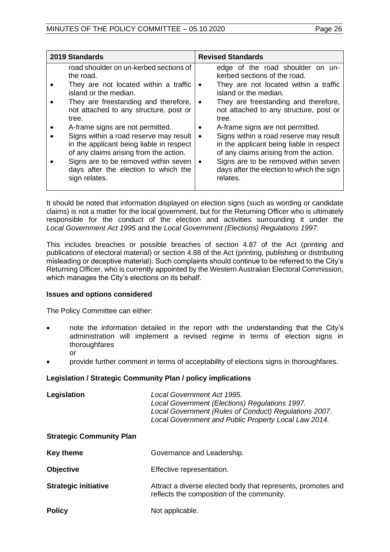| 2019 Standards                                                                                                                                                                                                                                                                                                                                                                                                                                                                        | <b>Revised Standards</b>                                                                                                                                                                                                                                                                                                                                                                                                                                                                                                                       |  |
|---------------------------------------------------------------------------------------------------------------------------------------------------------------------------------------------------------------------------------------------------------------------------------------------------------------------------------------------------------------------------------------------------------------------------------------------------------------------------------------|------------------------------------------------------------------------------------------------------------------------------------------------------------------------------------------------------------------------------------------------------------------------------------------------------------------------------------------------------------------------------------------------------------------------------------------------------------------------------------------------------------------------------------------------|--|
| road shoulder on un-kerbed sections of<br>the road.<br>They are not located within a traffic<br>island or the median.<br>They are freestanding and therefore,<br>not attached to any structure, post or<br>tree.<br>A-frame signs are not permitted.<br>Signs within a road reserve may result<br>in the applicant being liable in respect<br>of any claims arising from the action.<br>Signs are to be removed within seven<br>days after the election to which the<br>sign relates. | edge of the road shoulder on un-<br>kerbed sections of the road.<br>They are not located within a traffic<br>$\bullet$<br>island or the median.<br>They are freestanding and therefore,<br>$\bullet$<br>not attached to any structure, post or<br>tree.<br>A-frame signs are not permitted.<br>Signs within a road reserve may result<br>٠<br>in the applicant being liable in respect<br>of any claims arising from the action.<br>Signs are to be removed within seven<br>$\bullet$<br>days after the election to which the sign<br>relates. |  |

It should be noted that information displayed on election signs (such as wording or candidate claims) is not a matter for the local government, but for the Returning Officer who is ultimately responsible for the conduct of the election and activities surrounding it under the *Local Government Act 1995* and the *Local Government (Elections) Regulations 1997.* 

This includes breaches or possible breaches of section 4.87 of the Act (printing and publications of electoral material) or section 4.88 of the Act (printing, publishing or distributing misleading or deceptive material). Such complaints should continue to be referred to the City's Returning Officer, who is currently appointed by the Western Australian Electoral Commission, which manages the City's elections on its behalf.

#### **Issues and options considered**

The Policy Committee can either:

- note the information detailed in the report with the understanding that the City's administration will implement a revised regime in terms of election signs in thoroughfares
	- or
- provide further comment in terms of acceptability of elections signs in thoroughfares.

#### **Legislation / Strategic Community Plan / policy implications**

| Legislation                     | Local Government Act 1995.<br>Local Government (Elections) Regulations 1997.<br>Local Government (Rules of Conduct) Regulations 2007.<br>Local Government and Public Property Local Law 2014. |  |
|---------------------------------|-----------------------------------------------------------------------------------------------------------------------------------------------------------------------------------------------|--|
| <b>Strategic Community Plan</b> |                                                                                                                                                                                               |  |
| <b>Key theme</b>                | Governance and Leadership.                                                                                                                                                                    |  |
| <b>Objective</b>                | Effective representation.                                                                                                                                                                     |  |
| <b>Strategic initiative</b>     | Attract a diverse elected body that represents, promotes and<br>reflects the composition of the community.                                                                                    |  |
| <b>Policy</b>                   | Not applicable.                                                                                                                                                                               |  |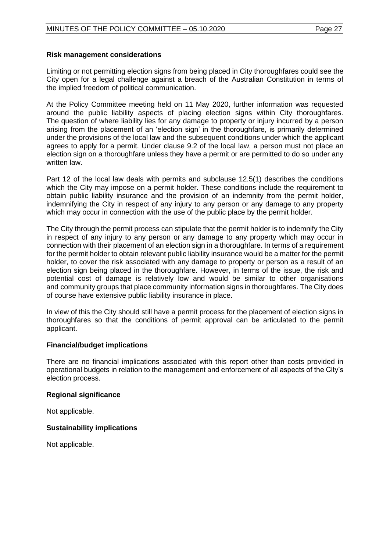#### **Risk management considerations**

Limiting or not permitting election signs from being placed in City thoroughfares could see the City open for a legal challenge against a breach of the Australian Constitution in terms of the implied freedom of political communication.

At the Policy Committee meeting held on 11 May 2020, further information was requested around the public liability aspects of placing election signs within City thoroughfares. The question of where liability lies for any damage to property or injury incurred by a person arising from the placement of an 'election sign' in the thoroughfare, is primarily determined under the provisions of the local law and the subsequent conditions under which the applicant agrees to apply for a permit. Under clause 9.2 of the local law, a person must not place an election sign on a thoroughfare unless they have a permit or are permitted to do so under any written law.

Part 12 of the local law deals with permits and subclause 12.5(1) describes the conditions which the City may impose on a permit holder. These conditions include the requirement to obtain public liability insurance and the provision of an indemnity from the permit holder, indemnifying the City in respect of any injury to any person or any damage to any property which may occur in connection with the use of the public place by the permit holder.

The City through the permit process can stipulate that the permit holder is to indemnify the City in respect of any injury to any person or any damage to any property which may occur in connection with their placement of an election sign in a thoroughfare. In terms of a requirement for the permit holder to obtain relevant public liability insurance would be a matter for the permit holder, to cover the risk associated with any damage to property or person as a result of an election sign being placed in the thoroughfare. However, in terms of the issue, the risk and potential cost of damage is relatively low and would be similar to other organisations and community groups that place community information signs in thoroughfares. The City does of course have extensive public liability insurance in place.

In view of this the City should still have a permit process for the placement of election signs in thoroughfares so that the conditions of permit approval can be articulated to the permit applicant.

#### **Financial/budget implications**

There are no financial implications associated with this report other than costs provided in operational budgets in relation to the management and enforcement of all aspects of the City's election process.

#### **Regional significance**

Not applicable.

#### **Sustainability implications**

Not applicable.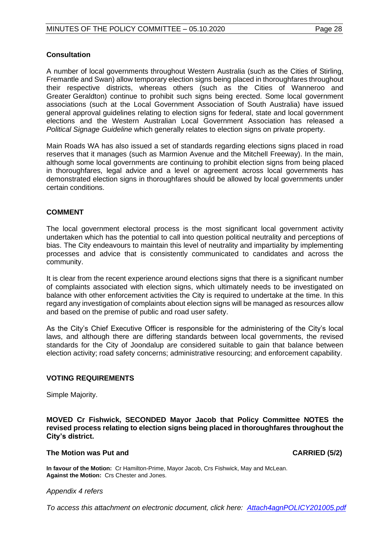#### **Consultation**

A number of local governments throughout Western Australia (such as the Cities of Stirling, Fremantle and Swan) allow temporary election signs being placed in thoroughfares throughout their respective districts, whereas others (such as the Cities of Wanneroo and Greater Geraldton) continue to prohibit such signs being erected. Some local government associations (such at the Local Government Association of South Australia) have issued general approval guidelines relating to election signs for federal, state and local government elections and the Western Australian Local Government Association has released a *Political Signage Guideline* which generally relates to election signs on private property.

Main Roads WA has also issued a set of standards regarding elections signs placed in road reserves that it manages (such as Marmion Avenue and the Mitchell Freeway). In the main, although some local governments are continuing to prohibit election signs from being placed in thoroughfares, legal advice and a level or agreement across local governments has demonstrated election signs in thoroughfares should be allowed by local governments under certain conditions.

#### **COMMENT**

The local government electoral process is the most significant local government activity undertaken which has the potential to call into question political neutrality and perceptions of bias. The City endeavours to maintain this level of neutrality and impartiality by implementing processes and advice that is consistently communicated to candidates and across the community.

It is clear from the recent experience around elections signs that there is a significant number of complaints associated with election signs, which ultimately needs to be investigated on balance with other enforcement activities the City is required to undertake at the time. In this regard any investigation of complaints about election signs will be managed as resources allow and based on the premise of public and road user safety.

As the City's Chief Executive Officer is responsible for the administering of the City's local laws, and although there are differing standards between local governments, the revised standards for the City of Joondalup are considered suitable to gain that balance between election activity; road safety concerns; administrative resourcing; and enforcement capability.

#### **VOTING REQUIREMENTS**

Simple Majority.

**MOVED Cr Fishwick, SECONDED Mayor Jacob that Policy Committee NOTES the revised process relating to election signs being placed in thoroughfares throughout the City's district.**

#### **The Motion was Put and CARRIED (5/2)**

**In favour of the Motion:** Cr Hamilton-Prime, Mayor Jacob, Crs Fishwick, May and McLean. **Against the Motion:** Crs Chester and Jones.

#### *Appendix 4 refers*

*To access this attachment on electronic document, click here[: Attach4agnPOLICY201005.pdf](http://www.joondalup.wa.gov.au/files/committees/POLI/2020/Attach4agnPOLICY201005.pdf)*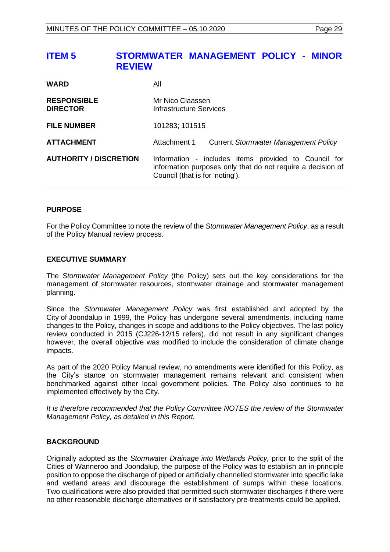## <span id="page-28-0"></span>**ITEM 5 STORMWATER MANAGEMENT POLICY - MINOR REVIEW**

| <b>WARD</b>                           | Αll                                                                                                                                                    |
|---------------------------------------|--------------------------------------------------------------------------------------------------------------------------------------------------------|
| <b>RESPONSIBLE</b><br><b>DIRECTOR</b> | Mr Nico Claassen<br>Infrastructure Services                                                                                                            |
| <b>FILE NUMBER</b>                    | 101283; 101515                                                                                                                                         |
| <b>ATTACHMENT</b>                     | Attachment 1<br><b>Current Stormwater Management Policy</b>                                                                                            |
| <b>AUTHORITY / DISCRETION</b>         | Information - includes items provided to Council for<br>information purposes only that do not require a decision of<br>Council (that is for 'noting'). |

#### **PURPOSE**

For the Policy Committee to note the review of the *Stormwater Management Policy*, as a result of the Policy Manual review process.

#### **EXECUTIVE SUMMARY**

The *Stormwater Management Policy* (the Policy) sets out the key considerations for the management of stormwater resources, stormwater drainage and stormwater management planning.

Since the *Stormwater Management Policy* was first established and adopted by the City of Joondalup in 1999, the Policy has undergone several amendments, including name changes to the Policy, changes in scope and additions to the Policy objectives. The last policy review conducted in 2015 (CJ226-12/15 refers), did not result in any significant changes however, the overall objective was modified to include the consideration of climate change impacts.

As part of the 2020 Policy Manual review, no amendments were identified for this Policy, as the City's stance on stormwater management remains relevant and consistent when benchmarked against other local government policies. The Policy also continues to be implemented effectively by the City.

*It is therefore recommended that the Policy Committee NOTES the review of the Stormwater Management Policy, as detailed in this Report.*

#### **BACKGROUND**

Originally adopted as the *Stormwater Drainage into Wetlands Policy,* prior to the split of the Cities of Wanneroo and Joondalup, the purpose of the Policy was to establish an in-principle position to oppose the discharge of piped or artificially channelled stormwater into specific lake and wetland areas and discourage the establishment of sumps within these locations. Two qualifications were also provided that permitted such stormwater discharges if there were no other reasonable discharge alternatives or if satisfactory pre-treatments could be applied.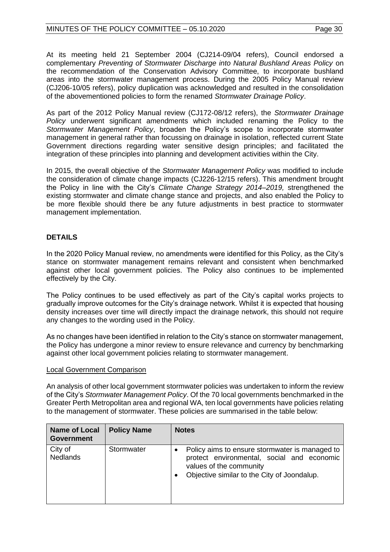At its meeting held 21 September 2004 (CJ214-09/04 refers), Council endorsed a complementary *Preventing of Stormwater Discharge into Natural Bushland Areas Policy* on the recommendation of the Conservation Advisory Committee, to incorporate bushland areas into the stormwater management process. During the 2005 Policy Manual review (CJ206-10/05 refers), policy duplication was acknowledged and resulted in the consolidation of the abovementioned policies to form the renamed *Stormwater Drainage Policy*.

As part of the 2012 Policy Manual review (CJ172-08/12 refers), the *Stormwater Drainage Policy* underwent significant amendments which included renaming the Policy to the *Stormwater Management Policy*, broaden the Policy's scope to incorporate stormwater management in general rather than focussing on drainage in isolation, reflected current State Government directions regarding water sensitive design principles; and facilitated the integration of these principles into planning and development activities within the City.

In 2015, the overall objective of the *Stormwater Management Policy* was modified to include the consideration of climate change impacts (CJ226-12/15 refers). This amendment brought the Policy in line with the City's *Climate Change Strategy 2014–2019,* strengthened the existing stormwater and climate change stance and projects, and also enabled the Policy to be more flexible should there be any future adjustments in best practice to stormwater management implementation.

### **DETAILS**

In the 2020 Policy Manual review, no amendments were identified for this Policy, as the City's stance on stormwater management remains relevant and consistent when benchmarked against other local government policies. The Policy also continues to be implemented effectively by the City.

The Policy continues to be used effectively as part of the City's capital works projects to gradually improve outcomes for the City's drainage network. Whilst it is expected that housing density increases over time will directly impact the drainage network, this should not require any changes to the wording used in the Policy.

As no changes have been identified in relation to the City's stance on stormwater management, the Policy has undergone a minor review to ensure relevance and currency by benchmarking against other local government policies relating to stormwater management.

#### Local Government Comparison

An analysis of other local government stormwater policies was undertaken to inform the review of the City's *Stormwater Management Policy*. Of the 70 local governments benchmarked in the Greater Perth Metropolitan area and regional WA, ten local governments have policies relating to the management of stormwater. These policies are summarised in the table below:

| <b>Name of Local</b><br><b>Government</b> | <b>Policy Name</b> | <b>Notes</b>                                                                                                                                                           |
|-------------------------------------------|--------------------|------------------------------------------------------------------------------------------------------------------------------------------------------------------------|
| City of<br><b>Nedlands</b>                | Stormwater         | Policy aims to ensure stormwater is managed to<br>protect environmental, social and economic<br>values of the community<br>Objective similar to the City of Joondalup. |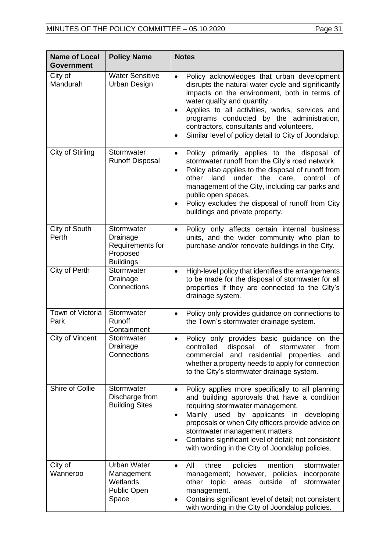| <b>Name of Local</b><br><b>Policy Name</b><br><b>Government</b> |                                                                             | <b>Notes</b>                                                                                                                                                                                                                                                                                                                                                                                                             |
|-----------------------------------------------------------------|-----------------------------------------------------------------------------|--------------------------------------------------------------------------------------------------------------------------------------------------------------------------------------------------------------------------------------------------------------------------------------------------------------------------------------------------------------------------------------------------------------------------|
| City of<br>Mandurah                                             | <b>Water Sensitive</b><br>Urban Design                                      | Policy acknowledges that urban development<br>$\bullet$<br>disrupts the natural water cycle and significantly<br>impacts on the environment, both in terms of<br>water quality and quantity.<br>Applies to all activities, works, services and<br>programs conducted by the administration,<br>contractors, consultants and volunteers.<br>Similar level of policy detail to City of Joondalup.<br>$\bullet$             |
| City of Stirling                                                | Stormwater<br><b>Runoff Disposal</b>                                        | Policy primarily applies to the disposal of<br>$\bullet$<br>stormwater runoff from the City's road network.<br>Policy also applies to the disposal of runoff from<br>$\bullet$<br>under<br>the<br>control<br>other<br>land<br>care,<br>οf<br>management of the City, including car parks and<br>public open spaces.<br>Policy excludes the disposal of runoff from City<br>$\bullet$<br>buildings and private property.  |
| City of South<br>Perth                                          | Stormwater<br>Drainage<br>Requirements for<br>Proposed<br><b>Buildings</b>  | Policy only affects certain internal business<br>$\bullet$<br>units, and the wider community who plan to<br>purchase and/or renovate buildings in the City.                                                                                                                                                                                                                                                              |
| City of Perth                                                   | Stormwater<br>Drainage<br>Connections                                       | High-level policy that identifies the arrangements<br>$\bullet$<br>to be made for the disposal of stormwater for all<br>properties if they are connected to the City's<br>drainage system.                                                                                                                                                                                                                               |
| Town of Victoria<br>Park                                        | Stormwater<br>Runoff<br>Containment                                         | Policy only provides guidance on connections to<br>$\bullet$<br>the Town's stormwater drainage system.                                                                                                                                                                                                                                                                                                                   |
| City of Vincent                                                 | Stormwater<br>Drainage<br>Connections                                       | Policy only provides basic guidance on the<br>$\bullet$<br>controlled<br>disposal<br>0f<br>stormwater<br>from<br>and<br>residential<br>commercial<br>properties<br>and<br>whether a property needs to apply for connection<br>to the City's stormwater drainage system.                                                                                                                                                  |
| Shire of Collie                                                 | Stormwater<br>Discharge from<br><b>Building Sites</b>                       | Policy applies more specifically to all planning<br>$\bullet$<br>and building approvals that have a condition<br>requiring stormwater management.<br>Mainly used by applicants in developing<br>$\bullet$<br>proposals or when City officers provide advice on<br>stormwater management matters.<br>Contains significant level of detail; not consistent<br>$\bullet$<br>with wording in the City of Joondalup policies. |
| City of<br>Wanneroo                                             | <b>Urban Water</b><br>Management<br>Wetlands<br><b>Public Open</b><br>Space | All<br>three<br>policies<br>mention<br>stormwater<br>$\bullet$<br>however, policies<br>management;<br>incorporate<br>other topic<br>outside<br>stormwater<br>areas<br>of<br>management.<br>Contains significant level of detail; not consistent<br>with wording in the City of Joondalup policies.                                                                                                                       |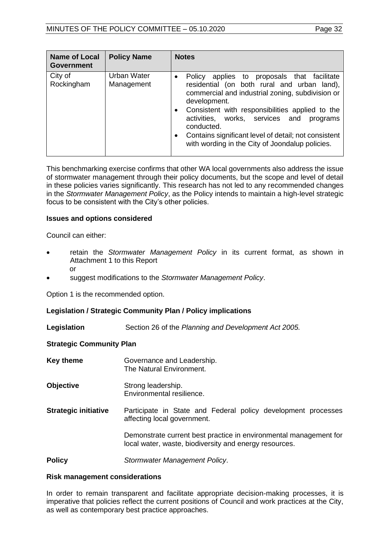| <b>Name of Local</b><br><b>Government</b> | <b>Policy Name</b>        | <b>Notes</b>                                                                                                                                                                                                                                                                                                                                                                                                                        |
|-------------------------------------------|---------------------------|-------------------------------------------------------------------------------------------------------------------------------------------------------------------------------------------------------------------------------------------------------------------------------------------------------------------------------------------------------------------------------------------------------------------------------------|
| City of<br>Rockingham                     | Urban Water<br>Management | applies to proposals that facilitate<br>Policy<br>$\bullet$<br>residential (on both rural and urban land),<br>commercial and industrial zoning, subdivision or<br>development.<br>Consistent with responsibilities applied to the<br>$\bullet$<br>activities, works, services and<br>programs<br>conducted.<br>Contains significant level of detail; not consistent<br>$\bullet$<br>with wording in the City of Joondalup policies. |

This benchmarking exercise confirms that other WA local governments also address the issue of stormwater management through their policy documents, but the scope and level of detail in these policies varies significantly. This research has not led to any recommended changes in the *Stormwater Management Policy*, as the Policy intends to maintain a high-level strategic focus to be consistent with the City's other policies.

#### **Issues and options considered**

Council can either:

- retain the *Stormwater Management Policy* in its current format, as shown in Attachment 1 to this Report or
- suggest modifications to the *Stormwater Management Policy*.

Option 1 is the recommended option.

#### **Legislation / Strategic Community Plan / Policy implications**

**Legislation** Section 26 of the *Planning and Development Act 2005.*

#### **Strategic Community Plan**

**Key theme Governance and Leadership.** The Natural Environment.

**Objective** Strong leadership. Environmental resilience.

**Strategic initiative** Participate in State and Federal policy development processes affecting local government.

> Demonstrate current best practice in environmental management for local water, waste, biodiversity and energy resources.

**Policy** *Stormwater Management Policy*.

#### **Risk management considerations**

In order to remain transparent and facilitate appropriate decision-making processes, it is imperative that policies reflect the current positions of Council and work practices at the City, as well as contemporary best practice approaches.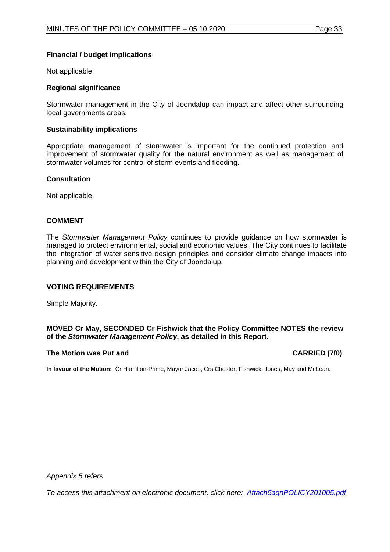#### **Financial / budget implications**

Not applicable.

#### **Regional significance**

Stormwater management in the City of Joondalup can impact and affect other surrounding local governments areas.

#### **Sustainability implications**

Appropriate management of stormwater is important for the continued protection and improvement of stormwater quality for the natural environment as well as management of stormwater volumes for control of storm events and flooding.

#### **Consultation**

Not applicable.

#### **COMMENT**

The *Stormwater Management Policy* continues to provide guidance on how stormwater is managed to protect environmental, social and economic values. The City continues to facilitate the integration of water sensitive design principles and consider climate change impacts into planning and development within the City of Joondalup.

#### **VOTING REQUIREMENTS**

Simple Majority.

#### **MOVED Cr May, SECONDED Cr Fishwick that the Policy Committee NOTES the review of the** *Stormwater Management Policy***, as detailed in this Report.**

#### **The Motion was Put and CARRIED (7/0)**

**In favour of the Motion:** Cr Hamilton-Prime, Mayor Jacob, Crs Chester, Fishwick, Jones, May and McLean.

*Appendix 5 refers*

*To access this attachment on electronic document, click here: [Attach5agnPOLICY201005.pdf](http://www.joondalup.wa.gov.au/files/committees/POLI/2020/Attach5agnPOLICY201005.pdf)*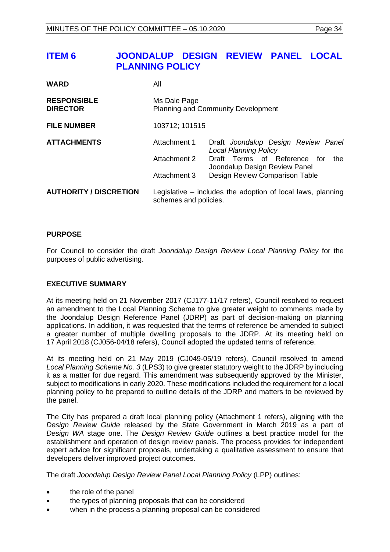# <span id="page-33-0"></span>**ITEM 6 JOONDALUP DESIGN REVIEW PANEL LOCAL PLANNING POLICY**

| <b>WARD</b>                           | Αll                                                                                    |                                                                         |
|---------------------------------------|----------------------------------------------------------------------------------------|-------------------------------------------------------------------------|
| <b>RESPONSIBLE</b><br><b>DIRECTOR</b> | Ms Dale Page                                                                           | <b>Planning and Community Development</b>                               |
| <b>FILE NUMBER</b>                    | 103712; 101515                                                                         |                                                                         |
| <b>ATTACHMENTS</b>                    | Attachment 1                                                                           | Draft Joondalup Design Review Panel<br><b>Local Planning Policy</b>     |
|                                       | Attachment 2                                                                           | Draft Terms of Reference<br>for<br>the<br>Joondalup Design Review Panel |
|                                       | Attachment 3                                                                           | Design Review Comparison Table                                          |
| <b>AUTHORITY / DISCRETION</b>         | Legislative $-$ includes the adoption of local laws, planning<br>schemes and policies. |                                                                         |

#### **PURPOSE**

For Council to consider the draft *Joondalup Design Review Local Planning Policy* for the purposes of public advertising.

#### **EXECUTIVE SUMMARY**

At its meeting held on 21 November 2017 (CJ177-11/17 refers), Council resolved to request an amendment to the Local Planning Scheme to give greater weight to comments made by the Joondalup Design Reference Panel (JDRP) as part of decision-making on planning applications. In addition, it was requested that the terms of reference be amended to subject a greater number of multiple dwelling proposals to the JDRP. At its meeting held on 17 April 2018 (CJ056-04/18 refers), Council adopted the updated terms of reference.

At its meeting held on 21 May 2019 (CJ049-05/19 refers), Council resolved to amend *Local Planning Scheme No. 3* (LPS3) to give greater statutory weight to the JDRP by including it as a matter for due regard. This amendment was subsequently approved by the Minister, subject to modifications in early 2020. These modifications included the requirement for a local planning policy to be prepared to outline details of the JDRP and matters to be reviewed by the panel.

The City has prepared a draft local planning policy (Attachment 1 refers), aligning with the *Design Review Guide* released by the State Government in March 2019 as a part of *Design WA* stage one. The *Design Review Guide* outlines a best practice model for the establishment and operation of design review panels. The process provides for independent expert advice for significant proposals, undertaking a qualitative assessment to ensure that developers deliver improved project outcomes.

The draft *Joondalup Design Review Panel Local Planning Policy* (LPP) outlines:

- the role of the panel
- the types of planning proposals that can be considered
- when in the process a planning proposal can be considered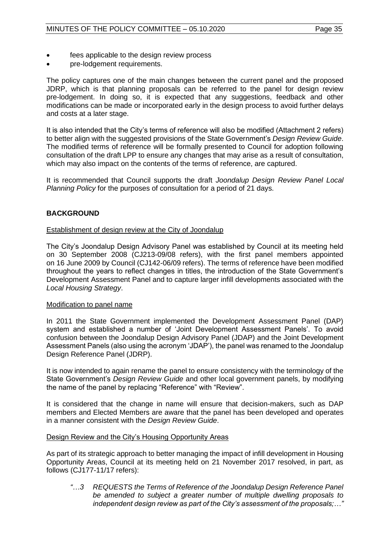- fees applicable to the design review process
- pre-lodgement requirements.

The policy captures one of the main changes between the current panel and the proposed JDRP, which is that planning proposals can be referred to the panel for design review pre-lodgement. In doing so, it is expected that any suggestions, feedback and other modifications can be made or incorporated early in the design process to avoid further delays and costs at a later stage.

It is also intended that the City's terms of reference will also be modified (Attachment 2 refers) to better align with the suggested provisions of the State Government's *Design Review Guide*. The modified terms of reference will be formally presented to Council for adoption following consultation of the draft LPP to ensure any changes that may arise as a result of consultation, which may also impact on the contents of the terms of reference, are captured.

It is recommended that Council supports the draft *Joondalup Design Review Panel Local Planning Policy* for the purposes of consultation for a period of 21 days.

#### **BACKGROUND**

#### Establishment of design review at the City of Joondalup

The City's Joondalup Design Advisory Panel was established by Council at its meeting held on 30 September 2008 (CJ213-09/08 refers), with the first panel members appointed on 16 June 2009 by Council (CJ142-06/09 refers). The terms of reference have been modified throughout the years to reflect changes in titles, the introduction of the State Government's Development Assessment Panel and to capture larger infill developments associated with the *Local Housing Strategy*.

#### Modification to panel name

In 2011 the State Government implemented the Development Assessment Panel (DAP) system and established a number of 'Joint Development Assessment Panels'. To avoid confusion between the Joondalup Design Advisory Panel (JDAP) and the Joint Development Assessment Panels (also using the acronym 'JDAP'), the panel was renamed to the Joondalup Design Reference Panel (JDRP).

It is now intended to again rename the panel to ensure consistency with the terminology of the State Government's *Design Review Guide* and other local government panels, by modifying the name of the panel by replacing "Reference" with "Review".

It is considered that the change in name will ensure that decision-makers, such as DAP members and Elected Members are aware that the panel has been developed and operates in a manner consistent with the *Design Review Guide*.

#### Design Review and the City's Housing Opportunity Areas

As part of its strategic approach to better managing the impact of infill development in Housing Opportunity Areas, Council at its meeting held on 21 November 2017 resolved, in part, as follows (CJ177-11/17 refers):

*"…3 REQUESTS the Terms of Reference of the Joondalup Design Reference Panel be amended to subject a greater number of multiple dwelling proposals to independent design review as part of the City's assessment of the proposals;…"*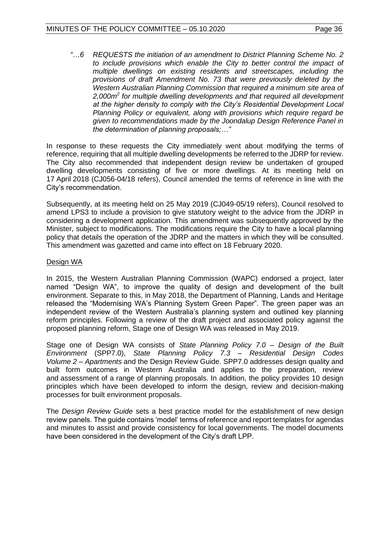*"…6 REQUESTS the initiation of an amendment to District Planning Scheme No. 2*  to include provisions which enable the City to better control the impact of *multiple dwellings on existing residents and streetscapes, including the provisions of draft Amendment No. 73 that were previously deleted by the Western Australian Planning Commission that required a minimum site area of 2,000m<sup>2</sup> for multiple dwelling developments and that required all development at the higher density to comply with the City's Residential Development Local Planning Policy or equivalent, along with provisions which require regard be given to recommendations made by the Joondalup Design Reference Panel in the determination of planning proposals;…"*

In response to these requests the City immediately went about modifying the terms of reference, requiring that all multiple dwelling developments be referred to the JDRP for review. The City also recommended that independent design review be undertaken of grouped dwelling developments consisting of five or more dwellings. At its meeting held on 17 April 2018 (CJ056-04/18 refers), Council amended the terms of reference in line with the City's recommendation.

Subsequently, at its meeting held on 25 May 2019 (CJ049-05/19 refers), Council resolved to amend LPS3 to include a provision to give statutory weight to the advice from the JDRP in considering a development application. This amendment was subsequently approved by the Minister, subject to modifications. The modifications require the City to have a local planning policy that details the operation of the JDRP and the matters in which they will be consulted. This amendment was gazetted and came into effect on 18 February 2020.

#### Design WA

In 2015, the Western Australian Planning Commission (WAPC) endorsed a project, later named "Design WA", to improve the quality of design and development of the built environment. Separate to this, in May 2018, the Department of Planning, Lands and Heritage released the "Modernising WA's Planning System Green Paper". The green paper was an independent review of the Western Australia's planning system and outlined key planning reform principles. Following a review of the draft project and associated policy against the proposed planning reform, Stage one of Design WA was released in May 2019.

Stage one of Design WA consists of *State Planning Policy 7.0 – Design of the Built Environment* (SPP7.0), *State Planning Policy 7.3 – Residential Design Codes Volume 2 – Apartments* and the Design Review Guide. SPP7.0 addresses design quality and built form outcomes in Western Australia and applies to the preparation, review and assessment of a range of planning proposals. In addition, the policy provides 10 design principles which have been developed to inform the design, review and decision-making processes for built environment proposals.

The *Design Review Guide* sets a best practice model for the establishment of new design review panels. The guide contains 'model' terms of reference and report templates for agendas and minutes to assist and provide consistency for local governments. The model documents have been considered in the development of the City's draft LPP.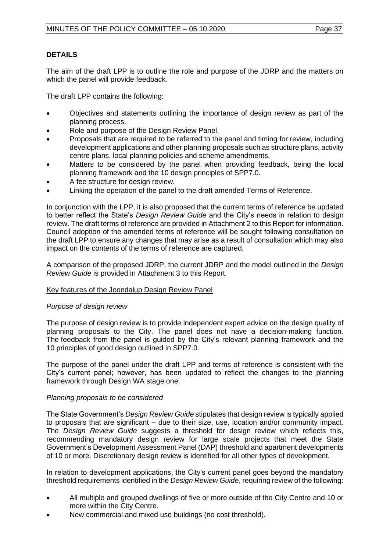#### **DETAILS**

The aim of the draft LPP is to outline the role and purpose of the JDRP and the matters on which the panel will provide feedback.

The draft LPP contains the following:

- Objectives and statements outlining the importance of design review as part of the planning process.
- Role and purpose of the Design Review Panel.
- Proposals that are required to be referred to the panel and timing for review, including development applications and other planning proposals such as structure plans, activity centre plans, local planning policies and scheme amendments.
- Matters to be considered by the panel when providing feedback, being the local planning framework and the 10 design principles of SPP7.0.
- A fee structure for design review.
- Linking the operation of the panel to the draft amended Terms of Reference.

In conjunction with the LPP, it is also proposed that the current terms of reference be updated to better reflect the State's *Design Review Guide* and the City's needs in relation to design review. The draft terms of reference are provided in Attachment 2 to this Report for information. Council adoption of the amended terms of reference will be sought following consultation on the draft LPP to ensure any changes that may arise as a result of consultation which may also impact on the contents of the terms of reference are captured.

A comparison of the proposed JDRP, the current JDRP and the model outlined in the *Design Review Guide* is provided in Attachment 3 to this Report.

#### Key features of the Joondalup Design Review Panel

#### *Purpose of design review*

The purpose of design review is to provide independent expert advice on the design quality of planning proposals to the City. The panel does not have a decision-making function. The feedback from the panel is guided by the City's relevant planning framework and the 10 principles of good design outlined in SPP7.0.

The purpose of the panel under the draft LPP and terms of reference is consistent with the City's current panel; however, has been updated to reflect the changes to the planning framework through Design WA stage one.

#### *Planning proposals to be considered*

The State Government's *Design Review Guide* stipulates that design review is typically applied to proposals that are significant – due to their size, use, location and/or community impact. The *Design Review Guide* suggests a threshold for design review which reflects this, recommending mandatory design review for large scale projects that meet the State Government's Development Assessment Panel (DAP) threshold and apartment developments of 10 or more. Discretionary design review is identified for all other types of development.

In relation to development applications, the City's current panel goes beyond the mandatory threshold requirements identified in the *Design Review Guide*, requiring review of the following:

- All multiple and grouped dwellings of five or more outside of the City Centre and 10 or more within the City Centre.
- New commercial and mixed use buildings (no cost threshold).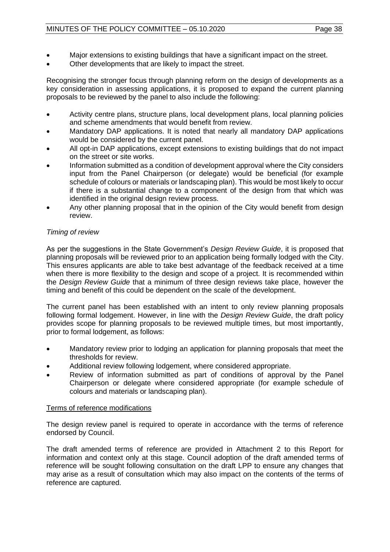- Major extensions to existing buildings that have a significant impact on the street.
- Other developments that are likely to impact the street.

Recognising the stronger focus through planning reform on the design of developments as a key consideration in assessing applications, it is proposed to expand the current planning proposals to be reviewed by the panel to also include the following:

- Activity centre plans, structure plans, local development plans, local planning policies and scheme amendments that would benefit from review.
- Mandatory DAP applications. It is noted that nearly all mandatory DAP applications would be considered by the current panel.
- All opt-in DAP applications, except extensions to existing buildings that do not impact on the street or site works.
- Information submitted as a condition of development approval where the City considers input from the Panel Chairperson (or delegate) would be beneficial (for example schedule of colours or materials or landscaping plan). This would be most likely to occur if there is a substantial change to a component of the design from that which was identified in the original design review process.
- Any other planning proposal that in the opinion of the City would benefit from design review.

### *Timing of review*

As per the suggestions in the State Government's *Design Review Guide*, it is proposed that planning proposals will be reviewed prior to an application being formally lodged with the City. This ensures applicants are able to take best advantage of the feedback received at a time when there is more flexibility to the design and scope of a project. It is recommended within the *Design Review Guide* that a minimum of three design reviews take place, however the timing and benefit of this could be dependent on the scale of the development.

The current panel has been established with an intent to only review planning proposals following formal lodgement. However, in line with the *Design Review Guide*, the draft policy provides scope for planning proposals to be reviewed multiple times, but most importantly, prior to formal lodgement, as follows:

- Mandatory review prior to lodging an application for planning proposals that meet the thresholds for review.
- Additional review following lodgement, where considered appropriate.
- Review of information submitted as part of conditions of approval by the Panel Chairperson or delegate where considered appropriate (for example schedule of colours and materials or landscaping plan).

#### Terms of reference modifications

The design review panel is required to operate in accordance with the terms of reference endorsed by Council.

The draft amended terms of reference are provided in Attachment 2 to this Report for information and context only at this stage. Council adoption of the draft amended terms of reference will be sought following consultation on the draft LPP to ensure any changes that may arise as a result of consultation which may also impact on the contents of the terms of reference are captured.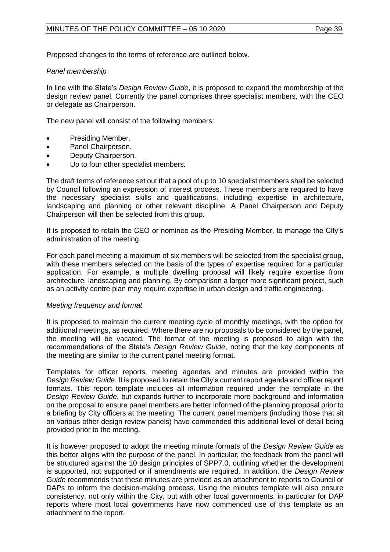Proposed changes to the terms of reference are outlined below.

#### *Panel membership*

In line with the State's *Design Review Guide*, it is proposed to expand the membership of the design review panel. Currently the panel comprises three specialist members, with the CEO or delegate as Chairperson.

The new panel will consist of the following members:

- Presiding Member.
- Panel Chairperson.
- Deputy Chairperson.
- Up to four other specialist members.

The draft terms of reference set out that a pool of up to 10 specialist members shall be selected by Council following an expression of interest process. These members are required to have the necessary specialist skills and qualifications, including expertise in architecture, landscaping and planning or other relevant discipline. A Panel Chairperson and Deputy Chairperson will then be selected from this group.

It is proposed to retain the CEO or nominee as the Presiding Member, to manage the City's administration of the meeting.

For each panel meeting a maximum of six members will be selected from the specialist group, with these members selected on the basis of the types of expertise required for a particular application. For example, a multiple dwelling proposal will likely require expertise from architecture, landscaping and planning. By comparison a larger more significant project, such as an activity centre plan may require expertise in urban design and traffic engineering.

#### *Meeting frequency and format*

It is proposed to maintain the current meeting cycle of monthly meetings, with the option for additional meetings, as required. Where there are no proposals to be considered by the panel, the meeting will be vacated. The format of the meeting is proposed to align with the recommendations of the State's *Design Review Guide*, noting that the key components of the meeting are similar to the current panel meeting format.

Templates for officer reports, meeting agendas and minutes are provided within the *Design Review Guide*. It is proposed to retain the City's current report agenda and officer report formats. This report template includes all information required under the template in the *Design Review Guide*, but expands further to incorporate more background and information on the proposal to ensure panel members are better informed of the planning proposal prior to a briefing by City officers at the meeting. The current panel members (including those that sit on various other design review panels) have commended this additional level of detail being provided prior to the meeting.

It is however proposed to adopt the meeting minute formats of the *Design Review Guide* as this better aligns with the purpose of the panel. In particular, the feedback from the panel will be structured against the 10 design principles of SPP7.0, outlining whether the development is supported, not supported or if amendments are required. In addition, the *Design Review Guide* recommends that these minutes are provided as an attachment to reports to Council or DAPs to inform the decision-making process. Using the minutes template will also ensure consistency, not only within the City, but with other local governments, in particular for DAP reports where most local governments have now commenced use of this template as an attachment to the report.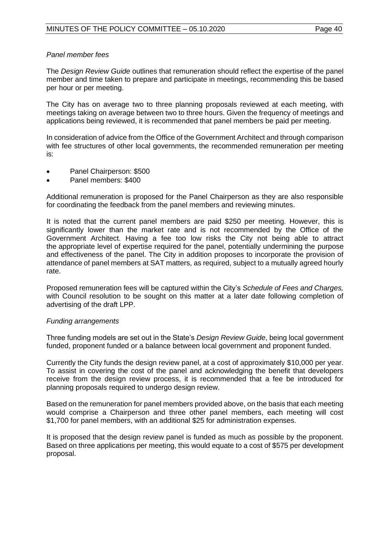#### *Panel member fees*

The *Design Review Guide* outlines that remuneration should reflect the expertise of the panel member and time taken to prepare and participate in meetings, recommending this be based per hour or per meeting.

The City has on average two to three planning proposals reviewed at each meeting, with meetings taking on average between two to three hours. Given the frequency of meetings and applications being reviewed, it is recommended that panel members be paid per meeting.

In consideration of advice from the Office of the Government Architect and through comparison with fee structures of other local governments, the recommended remuneration per meeting is:

- Panel Chairperson: \$500
- Panel members: \$400

Additional remuneration is proposed for the Panel Chairperson as they are also responsible for coordinating the feedback from the panel members and reviewing minutes.

It is noted that the current panel members are paid \$250 per meeting. However, this is significantly lower than the market rate and is not recommended by the Office of the Government Architect. Having a fee too low risks the City not being able to attract the appropriate level of expertise required for the panel, potentially undermining the purpose and effectiveness of the panel. The City in addition proposes to incorporate the provision of attendance of panel members at SAT matters, as required, subject to a mutually agreed hourly rate.

Proposed remuneration fees will be captured within the City's *Schedule of Fees and Charges,* with Council resolution to be sought on this matter at a later date following completion of advertising of the draft LPP.

#### *Funding arrangements*

Three funding models are set out in the State's *Design Review Guide*, being local government funded, proponent funded or a balance between local government and proponent funded.

Currently the City funds the design review panel, at a cost of approximately \$10,000 per year. To assist in covering the cost of the panel and acknowledging the benefit that developers receive from the design review process, it is recommended that a fee be introduced for planning proposals required to undergo design review.

Based on the remuneration for panel members provided above, on the basis that each meeting would comprise a Chairperson and three other panel members, each meeting will cost \$1,700 for panel members, with an additional \$25 for administration expenses.

It is proposed that the design review panel is funded as much as possible by the proponent. Based on three applications per meeting, this would equate to a cost of \$575 per development proposal.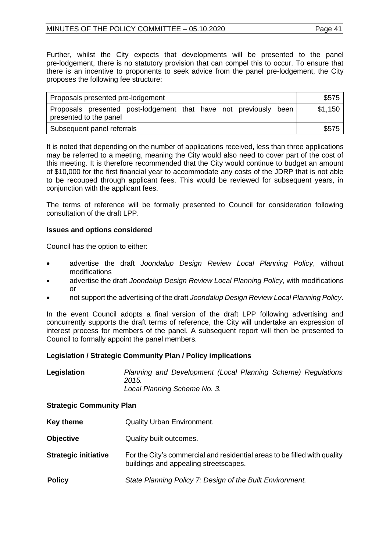Further, whilst the City expects that developments will be presented to the panel pre-lodgement, there is no statutory provision that can compel this to occur. To ensure that there is an incentive to proponents to seek advice from the panel pre-lodgement, the City proposes the following fee structure:

| Proposals presented pre-lodgement                                                             | \$575   |
|-----------------------------------------------------------------------------------------------|---------|
| Proposals presented post-lodgement that have not previously<br>been<br>presented to the panel | \$1,150 |
| Subsequent panel referrals                                                                    | \$575   |

It is noted that depending on the number of applications received, less than three applications may be referred to a meeting, meaning the City would also need to cover part of the cost of this meeting. It is therefore recommended that the City would continue to budget an amount of \$10,000 for the first financial year to accommodate any costs of the JDRP that is not able to be recouped through applicant fees. This would be reviewed for subsequent years, in conjunction with the applicant fees.

The terms of reference will be formally presented to Council for consideration following consultation of the draft LPP.

#### **Issues and options considered**

Council has the option to either:

- advertise the draft *Joondalup Design Review Local Planning Policy*, without modifications
- advertise the draft *Joondalup Design Review Local Planning Policy*, with modifications or
- not support the advertising of the draft *Joondalup Design Review Local Planning Policy*.

In the event Council adopts a final version of the draft LPP following advertising and concurrently supports the draft terms of reference, the City will undertake an expression of interest process for members of the panel. A subsequent report will then be presented to Council to formally appoint the panel members.

#### **Legislation / Strategic Community Plan / Policy implications**

| Legislation | Planning and Development (Local Planning Scheme) Regulations |
|-------------|--------------------------------------------------------------|
|             | 2015.                                                        |
|             | Local Planning Scheme No. 3.                                 |

#### **Strategic Community Plan**

- **Key theme Quality Urban Environment.**
- **Objective Quality built outcomes.**
- **Strategic initiative** For the City's commercial and residential areas to be filled with quality buildings and appealing streetscapes.
- **Policy** *State Planning Policy 7: Design of the Built Environment.*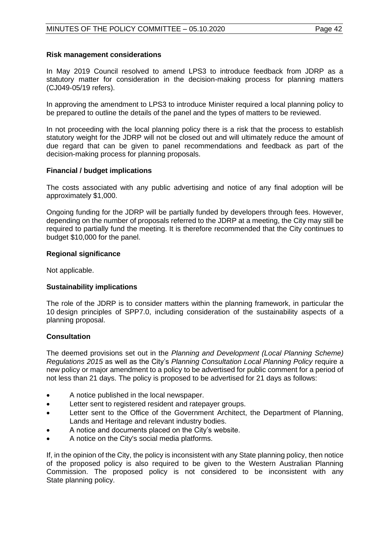#### **Risk management considerations**

In May 2019 Council resolved to amend LPS3 to introduce feedback from JDRP as a statutory matter for consideration in the decision-making process for planning matters (CJ049-05/19 refers).

In approving the amendment to LPS3 to introduce Minister required a local planning policy to be prepared to outline the details of the panel and the types of matters to be reviewed.

In not proceeding with the local planning policy there is a risk that the process to establish statutory weight for the JDRP will not be closed out and will ultimately reduce the amount of due regard that can be given to panel recommendations and feedback as part of the decision-making process for planning proposals.

#### **Financial / budget implications**

The costs associated with any public advertising and notice of any final adoption will be approximately \$1,000.

Ongoing funding for the JDRP will be partially funded by developers through fees. However, depending on the number of proposals referred to the JDRP at a meeting, the City may still be required to partially fund the meeting. It is therefore recommended that the City continues to budget \$10,000 for the panel.

#### **Regional significance**

Not applicable.

#### **Sustainability implications**

The role of the JDRP is to consider matters within the planning framework, in particular the 10 design principles of SPP7.0, including consideration of the sustainability aspects of a planning proposal.

#### **Consultation**

The deemed provisions set out in the *Planning and Development (Local Planning Scheme) Regulations 2015* as well as the City's *Planning Consultation Local Planning Policy* require a new policy or major amendment to a policy to be advertised for public comment for a period of not less than 21 days. The policy is proposed to be advertised for 21 days as follows:

- A notice published in the local newspaper.
- Letter sent to registered resident and ratepayer groups.
- Letter sent to the Office of the Government Architect, the Department of Planning, Lands and Heritage and relevant industry bodies.
- A notice and documents placed on the City's website.
- A notice on the City's social media platforms.

If, in the opinion of the City, the policy is inconsistent with any State planning policy, then notice of the proposed policy is also required to be given to the Western Australian Planning Commission. The proposed policy is not considered to be inconsistent with any State planning policy.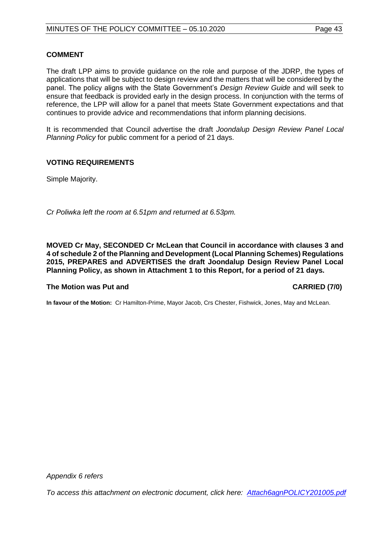The draft LPP aims to provide guidance on the role and purpose of the JDRP, the types of applications that will be subject to design review and the matters that will be considered by the panel. The policy aligns with the State Government's *Design Review Guide* and will seek to ensure that feedback is provided early in the design process. In conjunction with the terms of reference, the LPP will allow for a panel that meets State Government expectations and that continues to provide advice and recommendations that inform planning decisions.

It is recommended that Council advertise the draft *Joondalup Design Review Panel Local Planning Policy* for public comment for a period of 21 days.

#### **VOTING REQUIREMENTS**

Simple Majority.

*Cr Poliwka left the room at 6.51pm and returned at 6.53pm.*

**MOVED Cr May, SECONDED Cr McLean that Council in accordance with clauses 3 and 4 of schedule 2 of the Planning and Development (Local Planning Schemes) Regulations 2015, PREPARES and ADVERTISES the draft Joondalup Design Review Panel Local Planning Policy, as shown in Attachment 1 to this Report, for a period of 21 days.**

#### **The Motion was Put and CARRIED (7/0)**

**In favour of the Motion:** Cr Hamilton-Prime, Mayor Jacob, Crs Chester, Fishwick, Jones, May and McLean.

*Appendix 6 refers*

*To access this attachment on electronic document, click here: [Attach6agnPOLICY201005.pdf](http://www.joondalup.wa.gov.au/files/committees/POLI/2020/Attach6agnPOLICY201005.pdf)*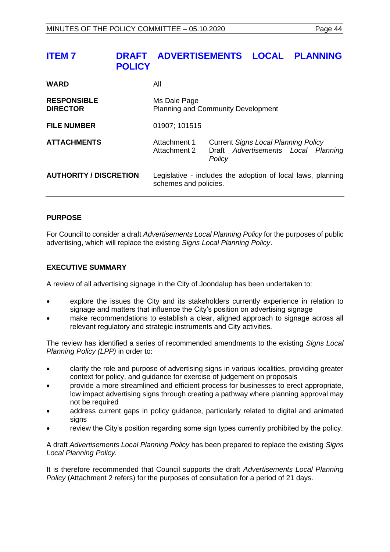# <span id="page-43-0"></span>**ITEM 7 DRAFT ADVERTISEMENTS LOCAL PLANNING POLICY**

| <b>WARD</b>                           | All                                                                                  |                                                                                             |
|---------------------------------------|--------------------------------------------------------------------------------------|---------------------------------------------------------------------------------------------|
| <b>RESPONSIBLE</b><br><b>DIRECTOR</b> | Ms Dale Page<br><b>Planning and Community Development</b>                            |                                                                                             |
| <b>FILE NUMBER</b>                    | 01907; 101515                                                                        |                                                                                             |
| <b>ATTACHMENTS</b>                    | Attachment 1<br>Attachment 2                                                         | <b>Current Signs Local Planning Policy</b><br>Draft Advertisements Local Planning<br>Policy |
| <b>AUTHORITY / DISCRETION</b>         | Legislative - includes the adoption of local laws, planning<br>schemes and policies. |                                                                                             |

#### **PURPOSE**

For Council to consider a draft *Advertisements Local Planning Policy* for the purposes of public advertising, which will replace the existing *Signs Local Planning Policy*.

#### **EXECUTIVE SUMMARY**

A review of all advertising signage in the City of Joondalup has been undertaken to:

- explore the issues the City and its stakeholders currently experience in relation to signage and matters that influence the City's position on advertising signage
- make recommendations to establish a clear, aligned approach to signage across all relevant regulatory and strategic instruments and City activities.

The review has identified a series of recommended amendments to the existing *Signs Local Planning Policy (LPP)* in order to:

- clarify the role and purpose of advertising signs in various localities, providing greater context for policy, and guidance for exercise of judgement on proposals
- provide a more streamlined and efficient process for businesses to erect appropriate, low impact advertising signs through creating a pathway where planning approval may not be required
- address current gaps in policy guidance, particularly related to digital and animated signs
- review the City's position regarding some sign types currently prohibited by the policy.

A draft *Advertisements Local Planning Policy* has been prepared to replace the existing *Signs Local Planning Policy.*

It is therefore recommended that Council supports the draft *Advertisements Local Planning Policy* (Attachment 2 refers) for the purposes of consultation for a period of 21 days.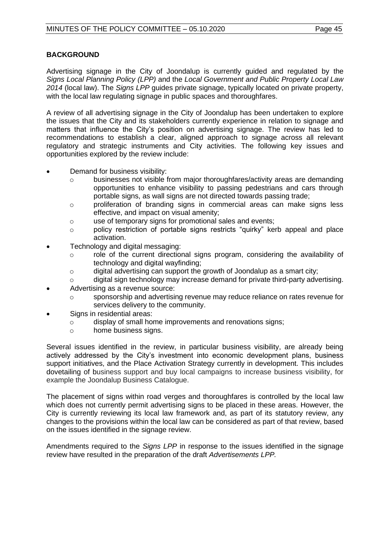#### **BACKGROUND**

Advertising signage in the City of Joondalup is currently guided and regulated by the *Signs Local Planning Policy (LPP)* and the *Local Government and Public Property Local Law 2014* (local law). The *Signs LPP* guides private signage, typically located on private property, with the local law regulating signage in public spaces and thoroughfares.

A review of all advertising signage in the City of Joondalup has been undertaken to explore the issues that the City and its stakeholders currently experience in relation to signage and matters that influence the City's position on advertising signage. The review has led to recommendations to establish a clear, aligned approach to signage across all relevant regulatory and strategic instruments and City activities. The following key issues and opportunities explored by the review include:

- Demand for business visibility:
	- o businesses not visible from major thoroughfares/activity areas are demanding opportunities to enhance visibility to passing pedestrians and cars through portable signs, as wall signs are not directed towards passing trade;
	- o proliferation of branding signs in commercial areas can make signs less effective, and impact on visual amenity;
	- o use of temporary signs for promotional sales and events;
	- o policy restriction of portable signs restricts "quirky" kerb appeal and place activation.
- Technology and digital messaging:
	- o role of the current directional signs program, considering the availability of technology and digital wayfinding;
	- o digital advertising can support the growth of Joondalup as a smart city;
	- $\circ$  digital sign technology may increase demand for private third-party advertising.
- Advertising as a revenue source:
	- sponsorship and advertising revenue may reduce reliance on rates revenue for services delivery to the community.
- Signs in residential areas:
	- o display of small home improvements and renovations signs;
	- o home business signs.

Several issues identified in the review, in particular business visibility, are already being actively addressed by the City's investment into economic development plans, business support initiatives, and the Place Activation Strategy currently in development. This includes dovetailing of business support and buy local campaigns to increase business visibility, for example the Joondalup Business Catalogue.

The placement of signs within road verges and thoroughfares is controlled by the local law which does not currently permit advertising signs to be placed in these areas. However, the City is currently reviewing its local law framework and, as part of its statutory review, any changes to the provisions within the local law can be considered as part of that review, based on the issues identified in the signage review.

Amendments required to the *Signs LPP* in response to the issues identified in the signage review have resulted in the preparation of the draft *Advertisements LPP.*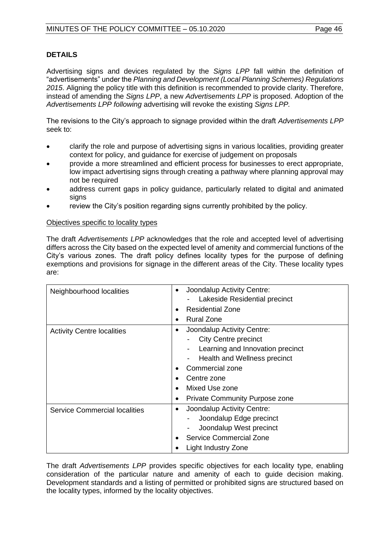#### **DETAILS**

Advertising signs and devices regulated by the *Signs LPP* fall within the definition of "advertisements" under the *Planning and Development (Local Planning Schemes) Regulations 2015*. Aligning the policy title with this definition is recommended to provide clarity. Therefore, instead of amending the *Signs LPP*, a new *Advertisements LPP* is proposed. Adoption of the *Advertisements LPP following* advertising will revoke the existing *Signs LPP.* 

The revisions to the City's approach to signage provided within the draft *Advertisements LPP*  seek to:

- clarify the role and purpose of advertising signs in various localities, providing greater context for policy, and guidance for exercise of judgement on proposals
- provide a more streamlined and efficient process for businesses to erect appropriate, low impact advertising signs through creating a pathway where planning approval may not be required
- address current gaps in policy guidance, particularly related to digital and animated signs
- review the City's position regarding signs currently prohibited by the policy.

#### Objectives specific to locality types

The draft *Advertisements LPP* acknowledges that the role and accepted level of advertising differs across the City based on the expected level of amenity and commercial functions of the City's various zones. The draft policy defines locality types for the purpose of defining exemptions and provisions for signage in the different areas of the City. These locality types are:

| Neighbourhood localities             | Joondalup Activity Centre:<br>$\bullet$ |
|--------------------------------------|-----------------------------------------|
|                                      | Lakeside Residential precinct           |
|                                      | <b>Residential Zone</b><br>٠            |
|                                      | <b>Rural Zone</b>                       |
| <b>Activity Centre localities</b>    | Joondalup Activity Centre:<br>$\bullet$ |
|                                      | <b>City Centre precinct</b>             |
|                                      | Learning and Innovation precinct        |
|                                      | Health and Wellness precinct            |
|                                      | <b>Commercial zone</b><br>٠             |
|                                      | Centre zone                             |
|                                      | Mixed Use zone<br>$\bullet$             |
|                                      | <b>Private Community Purpose zone</b>   |
| <b>Service Commercial localities</b> | Joondalup Activity Centre:<br>٠         |
|                                      | Joondalup Edge precinct                 |
|                                      | Joondalup West precinct                 |
|                                      | <b>Service Commercial Zone</b>          |
|                                      | Light Industry Zone                     |

The draft *Advertisements LPP* provides specific objectives for each locality type, enabling consideration of the particular nature and amenity of each to guide decision making. Development standards and a listing of permitted or prohibited signs are structured based on the locality types, informed by the locality objectives.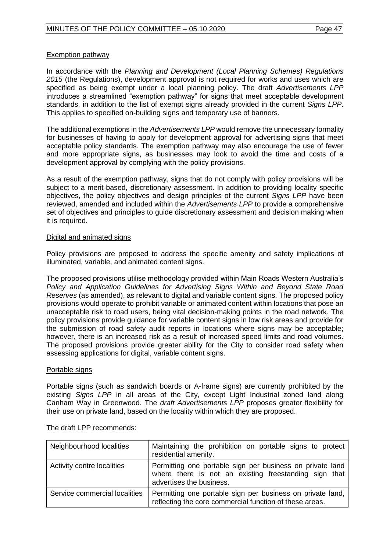#### Exemption pathway

In accordance with the *Planning and Development (Local Planning Schemes) Regulations 2015* (the Regulations), development approval is not required for works and uses which are specified as being exempt under a local planning policy. The draft *Advertisements LPP*  introduces a streamlined "exemption pathway" for signs that meet acceptable development standards, in addition to the list of exempt signs already provided in the current *Signs LPP*. This applies to specified on-building signs and temporary use of banners.

The additional exemptions in the *Advertisements LPP* would remove the unnecessary formality for businesses of having to apply for development approval for advertising signs that meet acceptable policy standards. The exemption pathway may also encourage the use of fewer and more appropriate signs, as businesses may look to avoid the time and costs of a development approval by complying with the policy provisions.

As a result of the exemption pathway, signs that do not comply with policy provisions will be subject to a merit-based, discretionary assessment. In addition to providing locality specific objectives, the policy objectives and design principles of the current *Signs LPP* have been reviewed, amended and included within the *Advertisements LPP* to provide a comprehensive set of objectives and principles to guide discretionary assessment and decision making when it is required.

#### Digital and animated signs

Policy provisions are proposed to address the specific amenity and safety implications of illuminated, variable, and animated content signs.

The proposed provisions utilise methodology provided within Main Roads Western Australia's *Policy and Application Guidelines for Advertising Signs Within and Beyond State Road Reserves* (as amended), as relevant to digital and variable content signs. The proposed policy provisions would operate to prohibit variable or animated content within locations that pose an unacceptable risk to road users, being vital decision-making points in the road network. The policy provisions provide guidance for variable content signs in low risk areas and provide for the submission of road safety audit reports in locations where signs may be acceptable; however, there is an increased risk as a result of increased speed limits and road volumes. The proposed provisions provide greater ability for the City to consider road safety when assessing applications for digital, variable content signs.

#### Portable signs

Portable signs (such as sandwich boards or A-frame signs) are currently prohibited by the existing *Signs LPP* in all areas of the City, except Light Industrial zoned land along Canham Way in Greenwood. The *draft Advertisements LPP* proposes greater flexibility for their use on private land, based on the locality within which they are proposed.

| Neighbourhood localities      | Maintaining the prohibition on portable signs to protect<br>residential amenity.                                                               |
|-------------------------------|------------------------------------------------------------------------------------------------------------------------------------------------|
| Activity centre localities    | Permitting one portable sign per business on private land<br>where there is not an existing freestanding sign that<br>advertises the business. |
| Service commercial localities | Permitting one portable sign per business on private land,<br>reflecting the core commercial function of these areas.                          |

The draft LPP recommends: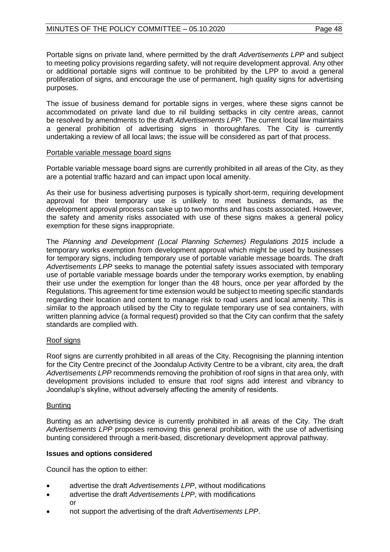Portable signs on private land, where permitted by the draft *Advertisements LPP* and subject to meeting policy provisions regarding safety, will not require development approval. Any other or additional portable signs will continue to be prohibited by the LPP to avoid a general proliferation of signs, and encourage the use of permanent, high quality signs for advertising purposes.

The issue of business demand for portable signs in verges, where these signs cannot be accommodated on private land due to nil building setbacks in city centre areas, cannot be resolved by amendments to the draft *Advertisements LPP*. The current local law maintains a general prohibition of advertising signs in thoroughfares. The City is currently undertaking a review of all local laws; the issue will be considered as part of that process.

#### Portable variable message board signs

Portable variable message board signs are currently prohibited in all areas of the City, as they are a potential traffic hazard and can impact upon local amenity.

As their use for business advertising purposes is typically short-term, requiring development approval for their temporary use is unlikely to meet business demands, as the development approval process can take up to two months and has costs associated. However, the safety and amenity risks associated with use of these signs makes a general policy exemption for these signs inappropriate.

The *Planning and Development (Local Planning Schemes) Regulations 2015* include a temporary works exemption from development approval which might be used by businesses for temporary signs, including temporary use of portable variable message boards. The draft *Advertisements LPP* seeks to manage the potential safety issues associated with temporary use of portable variable message boards under the temporary works exemption, by enabling their use under the exemption for longer than the 48 hours, once per year afforded by the Regulations. This agreement for time extension would be subject to meeting specific standards regarding their location and content to manage risk to road users and local amenity. This is similar to the approach utilised by the City to regulate temporary use of sea containers, with written planning advice (a formal request) provided so that the City can confirm that the safety standards are complied with.

#### Roof signs

Roof signs are currently prohibited in all areas of the City. Recognising the planning intention for the City Centre precinct of the Joondalup Activity Centre to be a vibrant, city area, the draft *Advertisements LPP* recommends removing the prohibition of roof signs in that area only, with development provisions included to ensure that roof signs add interest and vibrancy to Joondalup's skyline, without adversely affecting the amenity of residents.

#### Bunting

Bunting as an advertising device is currently prohibited in all areas of the City. The draft *Advertisements LPP* proposes removing this general prohibition, with the use of advertising bunting considered through a merit-based, discretionary development approval pathway.

#### **Issues and options considered**

Council has the option to either:

- advertise the draft *Advertisements LPP*, without modifications
- advertise the draft *Advertisements LPP*, with modifications or
- not support the advertising of the draft *Advertisements LPP*.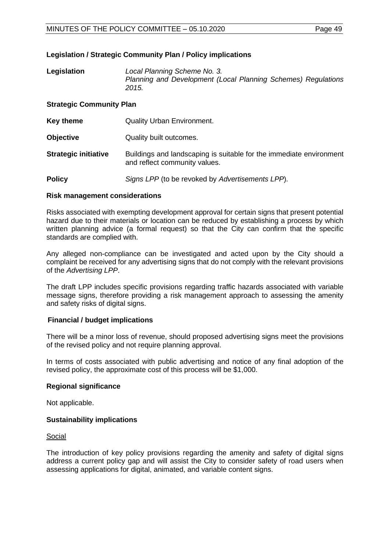#### **Legislation / Strategic Community Plan / Policy implications**

| Legislation | Local Planning Scheme No. 3.                                  |
|-------------|---------------------------------------------------------------|
|             | Planning and Development (Local Planning Schemes) Regulations |
|             | 2015.                                                         |

#### **Strategic Community Plan**

| Key theme                   | <b>Quality Urban Environment.</b>                                                                    |
|-----------------------------|------------------------------------------------------------------------------------------------------|
| <b>Objective</b>            | Quality built outcomes.                                                                              |
| <b>Strategic initiative</b> | Buildings and landscaping is suitable for the immediate environment<br>and reflect community values. |
| <b>Policy</b>               | Signs LPP (to be revoked by Advertisements LPP).                                                     |

#### **Risk management considerations**

Risks associated with exempting development approval for certain signs that present potential hazard due to their materials or location can be reduced by establishing a process by which written planning advice (a formal request) so that the City can confirm that the specific standards are complied with.

Any alleged non-compliance can be investigated and acted upon by the City should a complaint be received for any advertising signs that do not comply with the relevant provisions of the *Advertising LPP*.

The draft LPP includes specific provisions regarding traffic hazards associated with variable message signs, therefore providing a risk management approach to assessing the amenity and safety risks of digital signs.

#### **Financial / budget implications**

There will be a minor loss of revenue, should proposed advertising signs meet the provisions of the revised policy and not require planning approval.

In terms of costs associated with public advertising and notice of any final adoption of the revised policy, the approximate cost of this process will be \$1,000.

#### **Regional significance**

Not applicable.

#### **Sustainability implications**

Social

The introduction of key policy provisions regarding the amenity and safety of digital signs address a current policy gap and will assist the City to consider safety of road users when assessing applications for digital, animated, and variable content signs.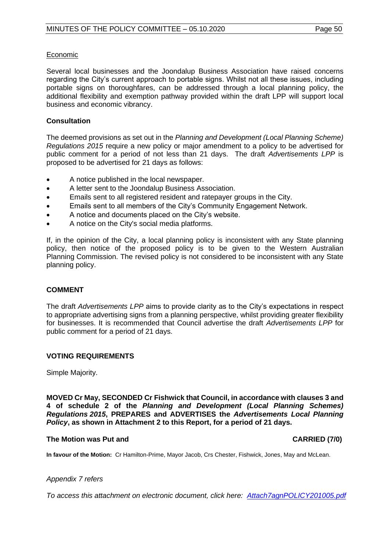#### Economic

Several local businesses and the Joondalup Business Association have raised concerns regarding the City's current approach to portable signs. Whilst not all these issues, including portable signs on thoroughfares, can be addressed through a local planning policy, the additional flexibility and exemption pathway provided within the draft LPP will support local business and economic vibrancy.

#### **Consultation**

The deemed provisions as set out in the *Planning and Development (Local Planning Scheme) Regulations 2015* require a new policy or major amendment to a policy to be advertised for public comment for a period of not less than 21 days. The draft *Advertisements LPP* is proposed to be advertised for 21 days as follows:

- A notice published in the local newspaper.
- A letter sent to the Joondalup Business Association.
- Emails sent to all registered resident and ratepayer groups in the City.
- Emails sent to all members of the City's Community Engagement Network.
- A notice and documents placed on the City's website.
- A notice on the City's social media platforms.

If, in the opinion of the City, a local planning policy is inconsistent with any State planning policy, then notice of the proposed policy is to be given to the Western Australian Planning Commission. The revised policy is not considered to be inconsistent with any State planning policy.

#### **COMMENT**

The draft *Advertisements LPP* aims to provide clarity as to the City's expectations in respect to appropriate advertising signs from a planning perspective, whilst providing greater flexibility for businesses. It is recommended that Council advertise the draft *Advertisements LPP* for public comment for a period of 21 days.

#### **VOTING REQUIREMENTS**

Simple Majority.

**MOVED Cr May, SECONDED Cr Fishwick that Council, in accordance with clauses 3 and 4 of schedule 2 of the** *Planning and Development (Local Planning Schemes) Regulations 2015***, PREPARES and ADVERTISES the** *Advertisements Local Planning Policy***, as shown in Attachment 2 to this Report, for a period of 21 days.**

#### **The Motion was Put and CARRIED (7/0)**

**In favour of the Motion:** Cr Hamilton-Prime, Mayor Jacob, Crs Chester, Fishwick, Jones, May and McLean.

#### *Appendix 7 refers*

*To access this attachment on electronic document, click here: [Attach7agnPOLICY201005.pdf](http://www.joondalup.wa.gov.au/files/committees/POLI/2020/Attach7agnPOLICY201005.pdf)*